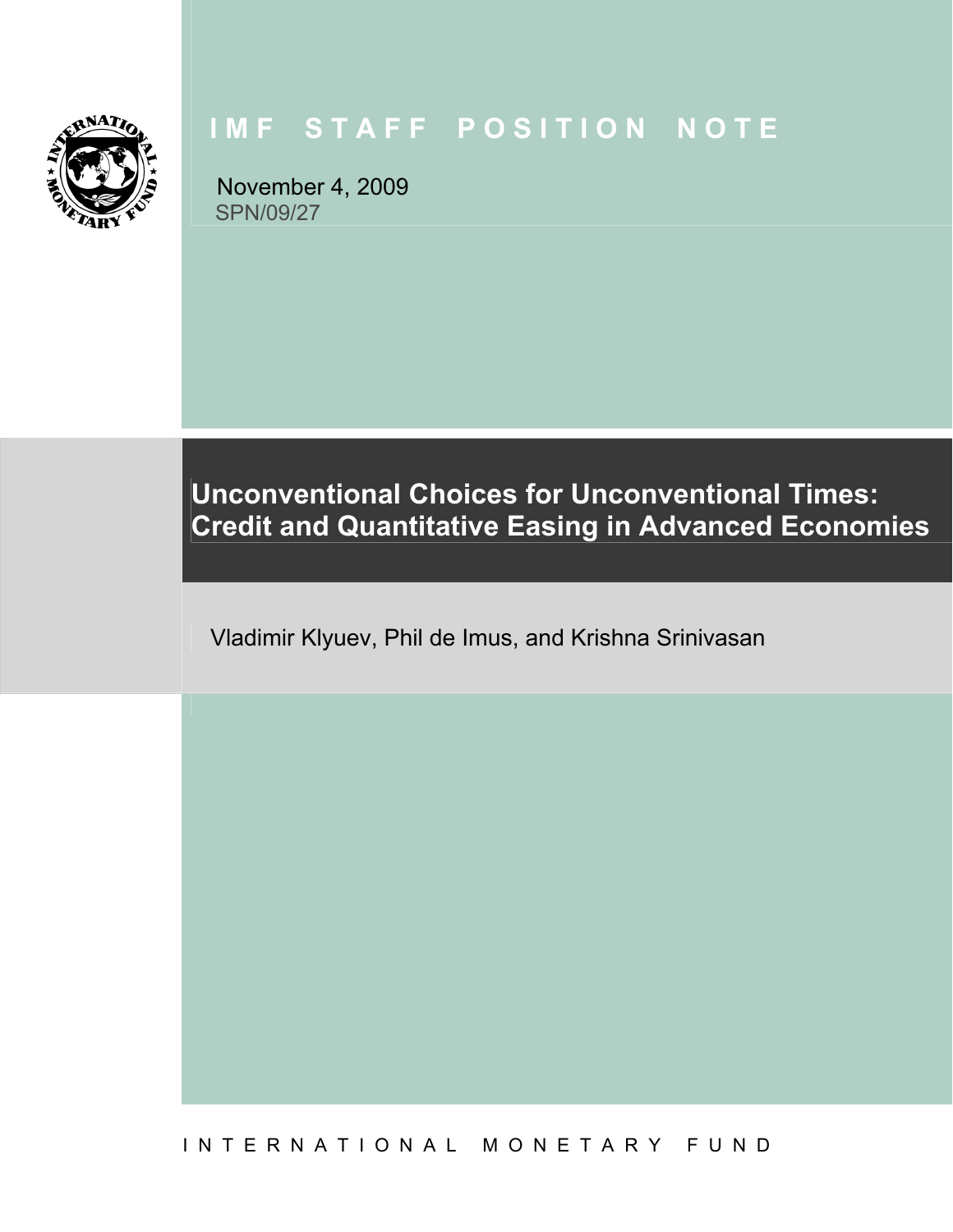

# **IMF STAFF POSITION NOTE**

November 4, 2009 SPN/09/27

**Unconventional Choices for Unconventional Times: Credit and Quantitative Easing in Advanced Economies** 

Vladimir Klyuev, Phil de Imus, and Krishna Srinivasan

I N T E R N A T I O N A L M O N E T A R Y F U N D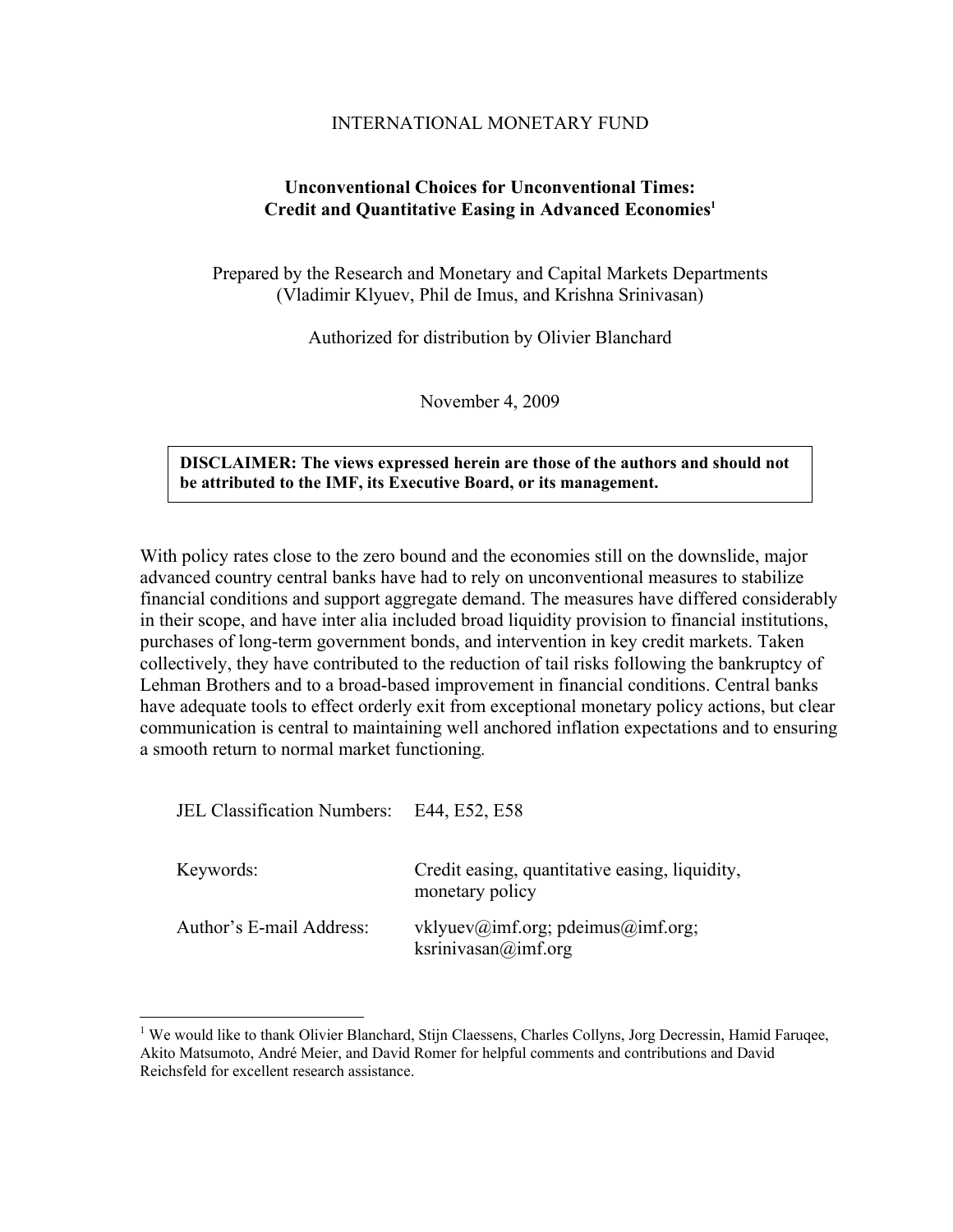#### INTERNATIONAL MONETARY FUND

#### **Unconventional Choices for Unconventional Times: Credit and Quantitative Easing in Advanced Economies1**

Prepared by the Research and Monetary and Capital Markets Departments (Vladimir Klyuev, Phil de Imus, and Krishna Srinivasan)

Authorized for distribution by Olivier Blanchard

November 4, 2009

#### **DISCLAIMER: The views expressed herein are those of the authors and should not be attributed to the IMF, its Executive Board, or its management.**

With policy rates close to the zero bound and the economies still on the downslide, major advanced country central banks have had to rely on unconventional measures to stabilize financial conditions and support aggregate demand. The measures have differed considerably in their scope, and have inter alia included broad liquidity provision to financial institutions, purchases of long-term government bonds, and intervention in key credit markets. Taken collectively, they have contributed to the reduction of tail risks following the bankruptcy of Lehman Brothers and to a broad-based improvement in financial conditions. Central banks have adequate tools to effect orderly exit from exceptional monetary policy actions, but clear communication is central to maintaining well anchored inflation expectations and to ensuring a smooth return to normal market functioning*.*

JEL Classification Numbers: E44, E52, E58

 $\overline{a}$ 

| Keywords:                | Credit easing, quantitative easing, liquidity,<br>monetary policy |
|--------------------------|-------------------------------------------------------------------|
| Author's E-mail Address: | vklyuev@imf.org; pdeimus@imf.org;<br>ksrinivasan@imf.org          |

<sup>&</sup>lt;sup>1</sup> We would like to thank Olivier Blanchard, Stijn Claessens, Charles Collyns, Jorg Decressin, Hamid Faruqee, Akito Matsumoto, André Meier, and David Romer for helpful comments and contributions and David Reichsfeld for excellent research assistance.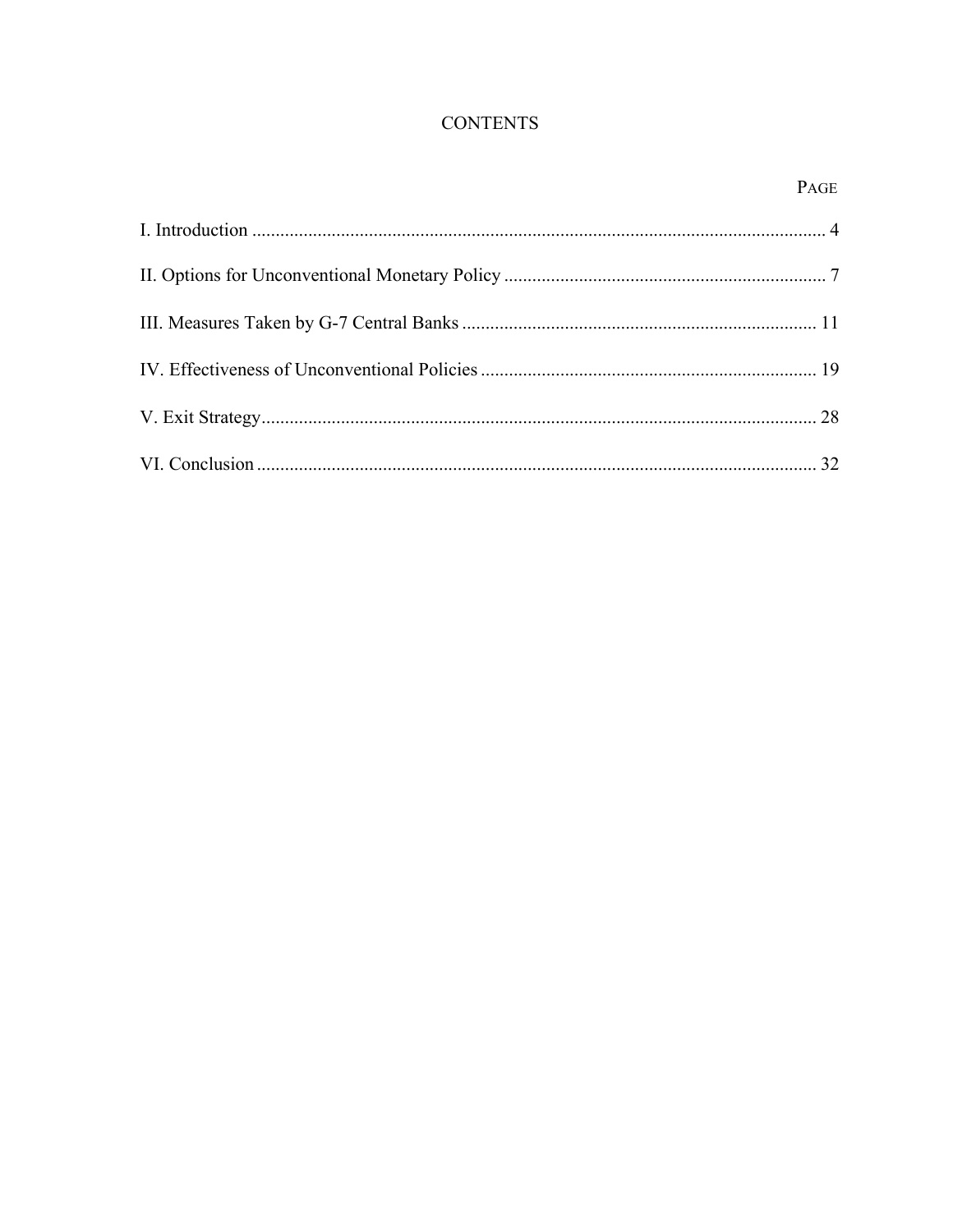# **CONTENTS**

## PAGE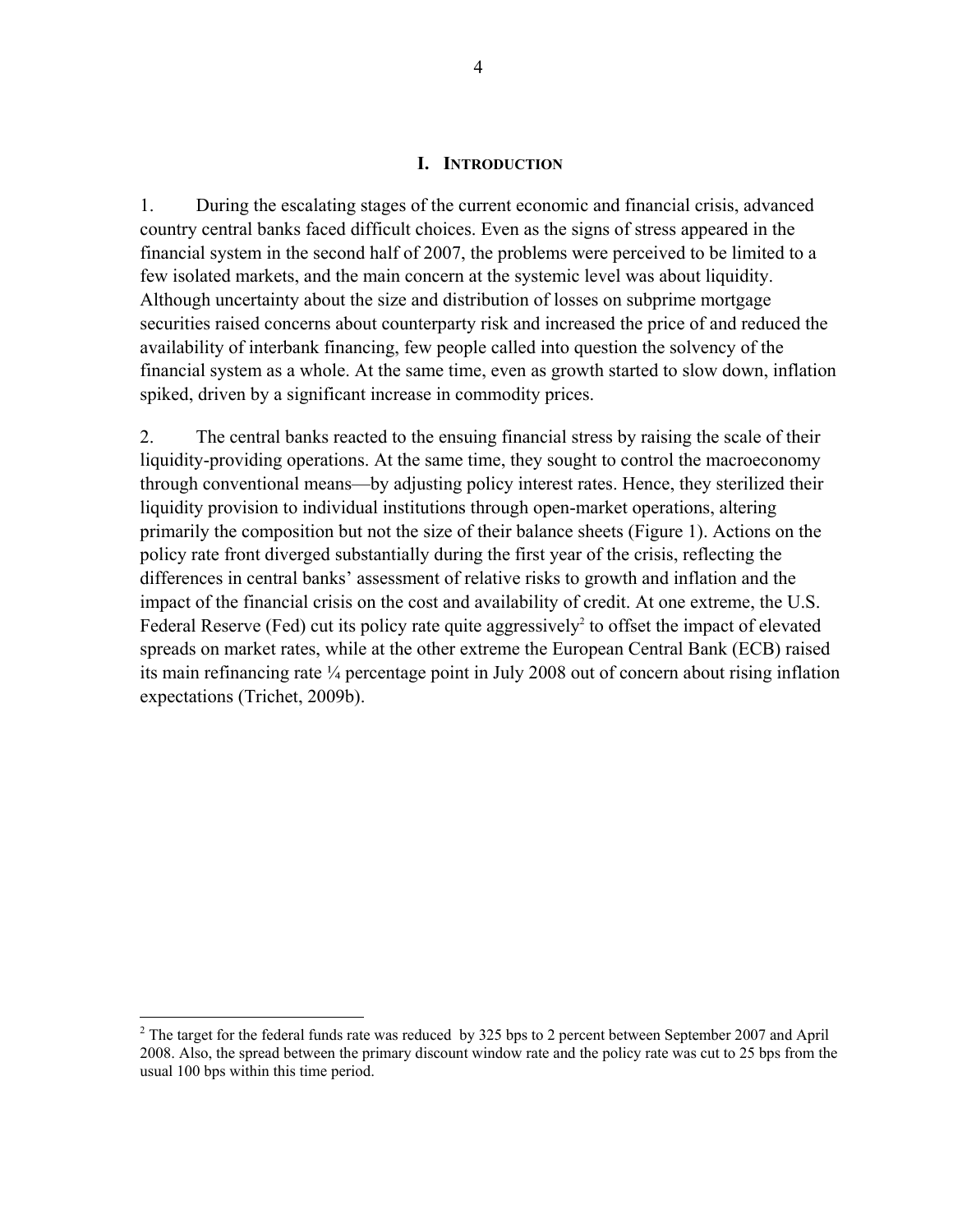#### **I. INTRODUCTION**

1. During the escalating stages of the current economic and financial crisis, advanced country central banks faced difficult choices. Even as the signs of stress appeared in the financial system in the second half of 2007, the problems were perceived to be limited to a few isolated markets, and the main concern at the systemic level was about liquidity. Although uncertainty about the size and distribution of losses on subprime mortgage securities raised concerns about counterparty risk and increased the price of and reduced the availability of interbank financing, few people called into question the solvency of the financial system as a whole. At the same time, even as growth started to slow down, inflation spiked, driven by a significant increase in commodity prices.

2. The central banks reacted to the ensuing financial stress by raising the scale of their liquidity-providing operations. At the same time, they sought to control the macroeconomy through conventional means—by adjusting policy interest rates. Hence, they sterilized their liquidity provision to individual institutions through open-market operations, altering primarily the composition but not the size of their balance sheets (Figure 1). Actions on the policy rate front diverged substantially during the first year of the crisis, reflecting the differences in central banks' assessment of relative risks to growth and inflation and the impact of the financial crisis on the cost and availability of credit. At one extreme, the U.S. Federal Reserve (Fed) cut its policy rate quite aggressively<sup>2</sup> to offset the impact of elevated spreads on market rates, while at the other extreme the European Central Bank (ECB) raised its main refinancing rate ¼ percentage point in July 2008 out of concern about rising inflation expectations (Trichet, 2009b).

 $\overline{a}$ 

<sup>&</sup>lt;sup>2</sup> The target for the federal funds rate was reduced by 325 bps to 2 percent between September 2007 and April 2008. Also, the spread between the primary discount window rate and the policy rate was cut to 25 bps from the usual 100 bps within this time period.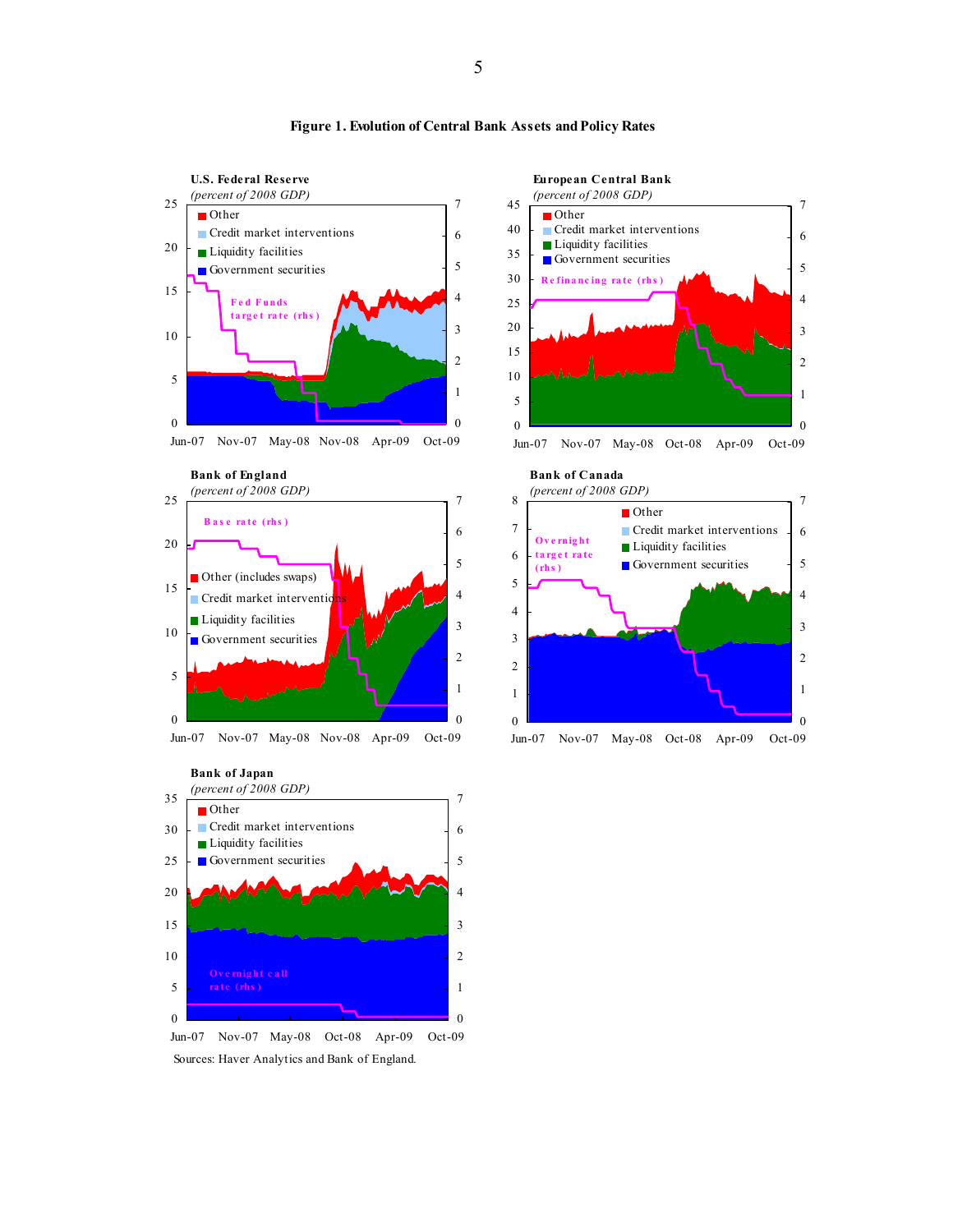

#### **Figure 1. Evolution of Central Bank Assets and Policy Rates**



Sources: Haver Analytics and Bank of England.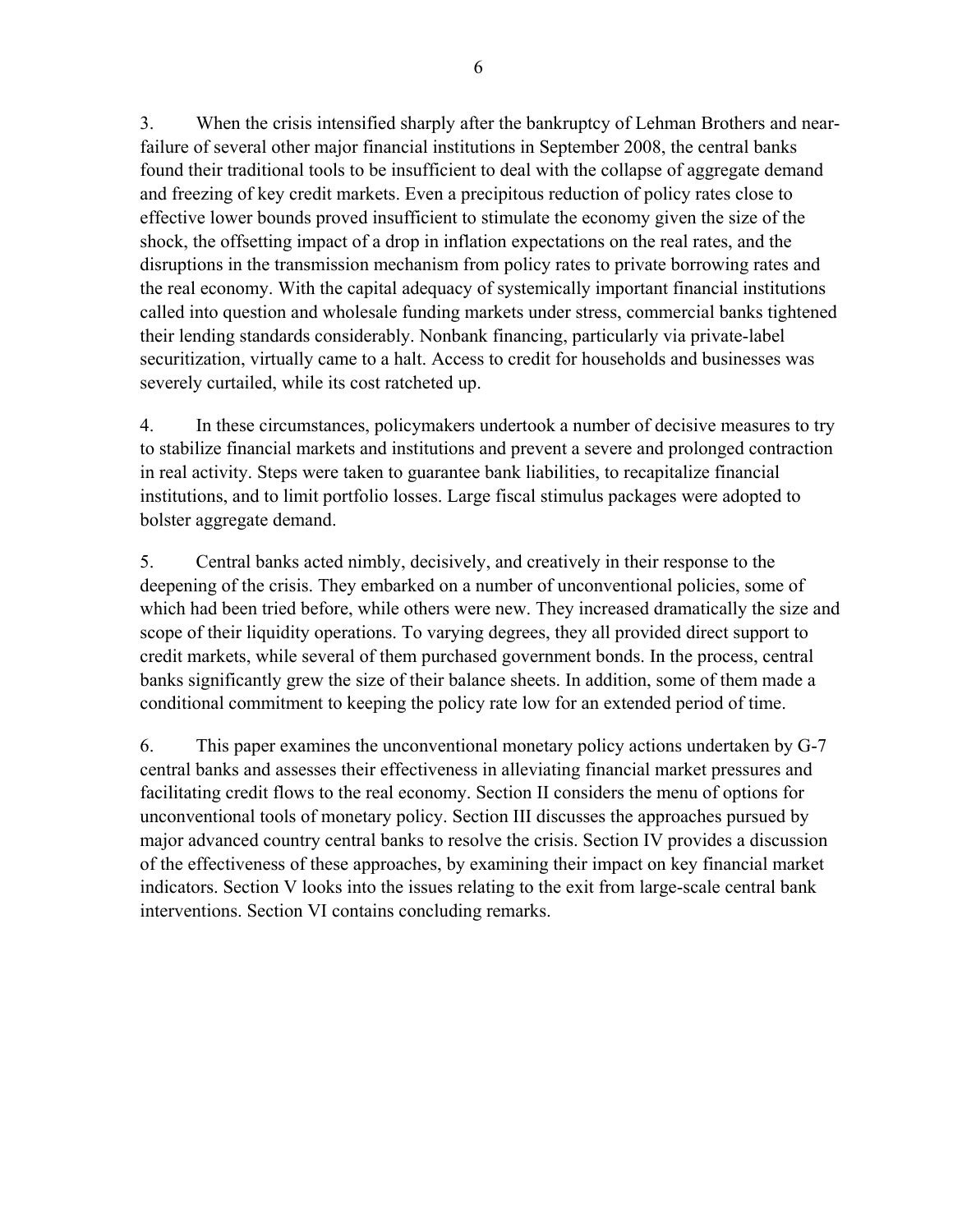6

3. When the crisis intensified sharply after the bankruptcy of Lehman Brothers and nearfailure of several other major financial institutions in September 2008, the central banks found their traditional tools to be insufficient to deal with the collapse of aggregate demand and freezing of key credit markets. Even a precipitous reduction of policy rates close to effective lower bounds proved insufficient to stimulate the economy given the size of the shock, the offsetting impact of a drop in inflation expectations on the real rates, and the disruptions in the transmission mechanism from policy rates to private borrowing rates and the real economy. With the capital adequacy of systemically important financial institutions called into question and wholesale funding markets under stress, commercial banks tightened their lending standards considerably. Nonbank financing, particularly via private-label securitization, virtually came to a halt. Access to credit for households and businesses was severely curtailed, while its cost ratcheted up.

4. In these circumstances, policymakers undertook a number of decisive measures to try to stabilize financial markets and institutions and prevent a severe and prolonged contraction in real activity. Steps were taken to guarantee bank liabilities, to recapitalize financial institutions, and to limit portfolio losses. Large fiscal stimulus packages were adopted to bolster aggregate demand.

5. Central banks acted nimbly, decisively, and creatively in their response to the deepening of the crisis. They embarked on a number of unconventional policies, some of which had been tried before, while others were new. They increased dramatically the size and scope of their liquidity operations. To varying degrees, they all provided direct support to credit markets, while several of them purchased government bonds. In the process, central banks significantly grew the size of their balance sheets. In addition, some of them made a conditional commitment to keeping the policy rate low for an extended period of time.

6. This paper examines the unconventional monetary policy actions undertaken by G-7 central banks and assesses their effectiveness in alleviating financial market pressures and facilitating credit flows to the real economy. Section II considers the menu of options for unconventional tools of monetary policy. Section III discusses the approaches pursued by major advanced country central banks to resolve the crisis. Section IV provides a discussion of the effectiveness of these approaches, by examining their impact on key financial market indicators. Section V looks into the issues relating to the exit from large-scale central bank interventions. Section VI contains concluding remarks.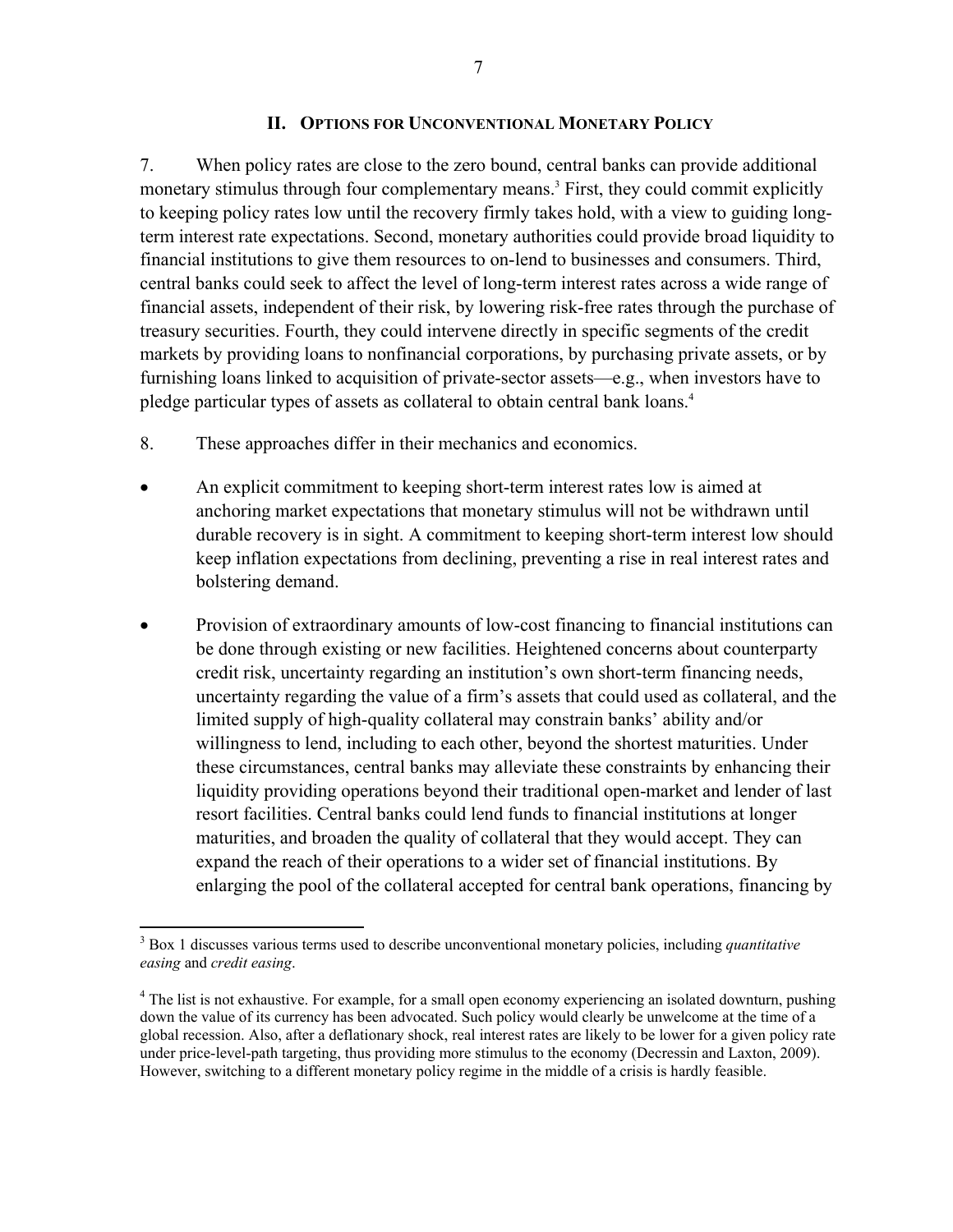#### **II. OPTIONS FOR UNCONVENTIONAL MONETARY POLICY**

7. When policy rates are close to the zero bound, central banks can provide additional monetary stimulus through four complementary means.<sup>3</sup> First, they could commit explicitly to keeping policy rates low until the recovery firmly takes hold, with a view to guiding longterm interest rate expectations. Second, monetary authorities could provide broad liquidity to financial institutions to give them resources to on-lend to businesses and consumers. Third, central banks could seek to affect the level of long-term interest rates across a wide range of financial assets, independent of their risk, by lowering risk-free rates through the purchase of treasury securities. Fourth, they could intervene directly in specific segments of the credit markets by providing loans to nonfinancial corporations, by purchasing private assets, or by furnishing loans linked to acquisition of private-sector assets—e.g., when investors have to pledge particular types of assets as collateral to obtain central bank loans.<sup>4</sup>

- 8. These approaches differ in their mechanics and economics.
- An explicit commitment to keeping short-term interest rates low is aimed at anchoring market expectations that monetary stimulus will not be withdrawn until durable recovery is in sight. A commitment to keeping short-term interest low should keep inflation expectations from declining, preventing a rise in real interest rates and bolstering demand.
- Provision of extraordinary amounts of low-cost financing to financial institutions can be done through existing or new facilities. Heightened concerns about counterparty credit risk, uncertainty regarding an institution's own short-term financing needs, uncertainty regarding the value of a firm's assets that could used as collateral, and the limited supply of high-quality collateral may constrain banks' ability and/or willingness to lend, including to each other, beyond the shortest maturities. Under these circumstances, central banks may alleviate these constraints by enhancing their liquidity providing operations beyond their traditional open-market and lender of last resort facilities. Central banks could lend funds to financial institutions at longer maturities, and broaden the quality of collateral that they would accept. They can expand the reach of their operations to a wider set of financial institutions. By enlarging the pool of the collateral accepted for central bank operations, financing by

 3 Box 1 discusses various terms used to describe unconventional monetary policies, including *quantitative easing* and *credit easing*.

<sup>&</sup>lt;sup>4</sup> The list is not exhaustive. For example, for a small open economy experiencing an isolated downturn, pushing down the value of its currency has been advocated. Such policy would clearly be unwelcome at the time of a global recession. Also, after a deflationary shock, real interest rates are likely to be lower for a given policy rate under price-level-path targeting, thus providing more stimulus to the economy (Decressin and Laxton, 2009). However, switching to a different monetary policy regime in the middle of a crisis is hardly feasible.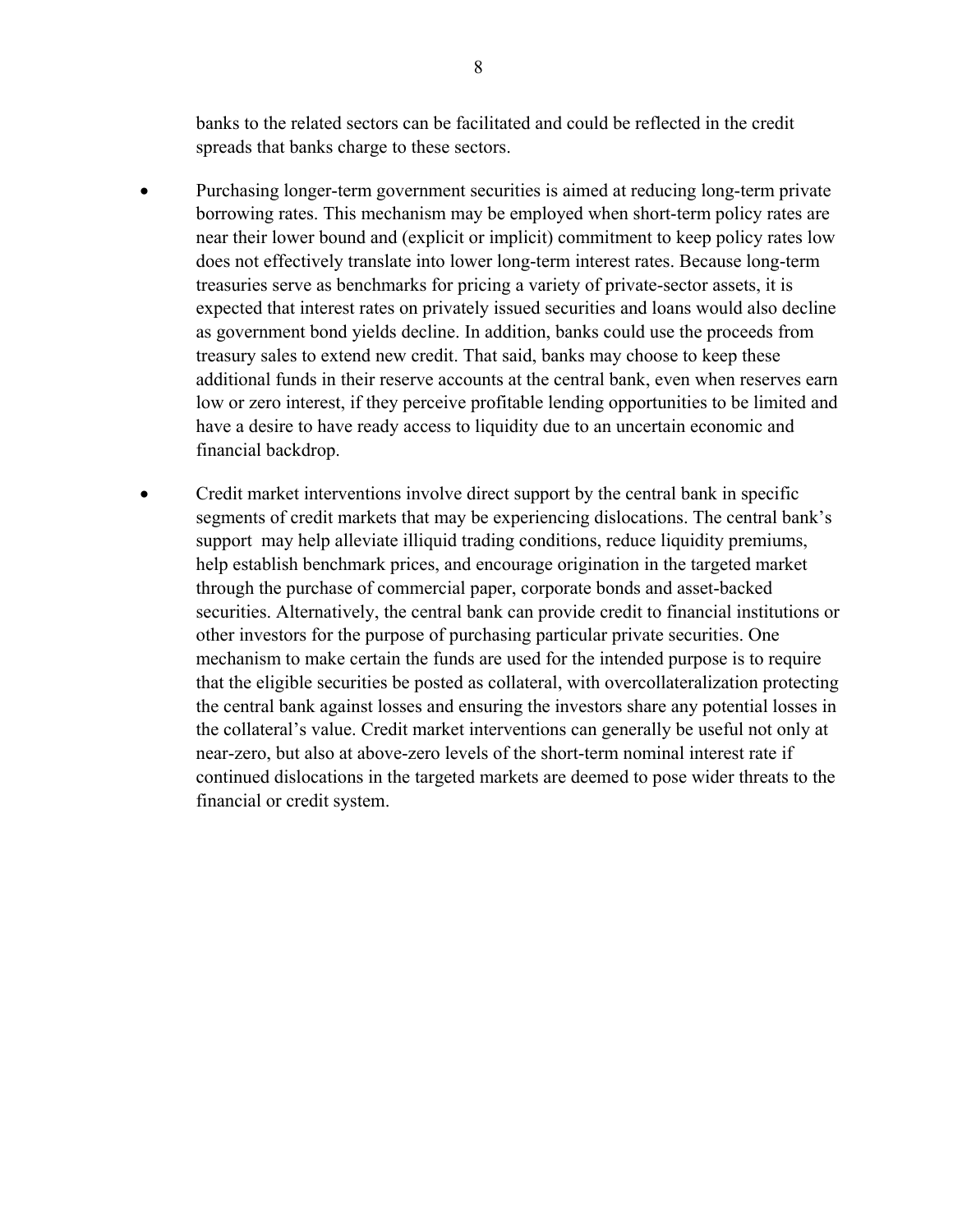banks to the related sectors can be facilitated and could be reflected in the credit spreads that banks charge to these sectors.

- Purchasing longer-term government securities is aimed at reducing long-term private borrowing rates. This mechanism may be employed when short-term policy rates are near their lower bound and (explicit or implicit) commitment to keep policy rates low does not effectively translate into lower long-term interest rates. Because long-term treasuries serve as benchmarks for pricing a variety of private-sector assets, it is expected that interest rates on privately issued securities and loans would also decline as government bond yields decline. In addition, banks could use the proceeds from treasury sales to extend new credit. That said, banks may choose to keep these additional funds in their reserve accounts at the central bank, even when reserves earn low or zero interest, if they perceive profitable lending opportunities to be limited and have a desire to have ready access to liquidity due to an uncertain economic and financial backdrop.
- Credit market interventions involve direct support by the central bank in specific segments of credit markets that may be experiencing dislocations. The central bank's support may help alleviate illiquid trading conditions, reduce liquidity premiums, help establish benchmark prices, and encourage origination in the targeted market through the purchase of commercial paper, corporate bonds and asset-backed securities. Alternatively, the central bank can provide credit to financial institutions or other investors for the purpose of purchasing particular private securities. One mechanism to make certain the funds are used for the intended purpose is to require that the eligible securities be posted as collateral, with overcollateralization protecting the central bank against losses and ensuring the investors share any potential losses in the collateral's value. Credit market interventions can generally be useful not only at near-zero, but also at above-zero levels of the short-term nominal interest rate if continued dislocations in the targeted markets are deemed to pose wider threats to the financial or credit system.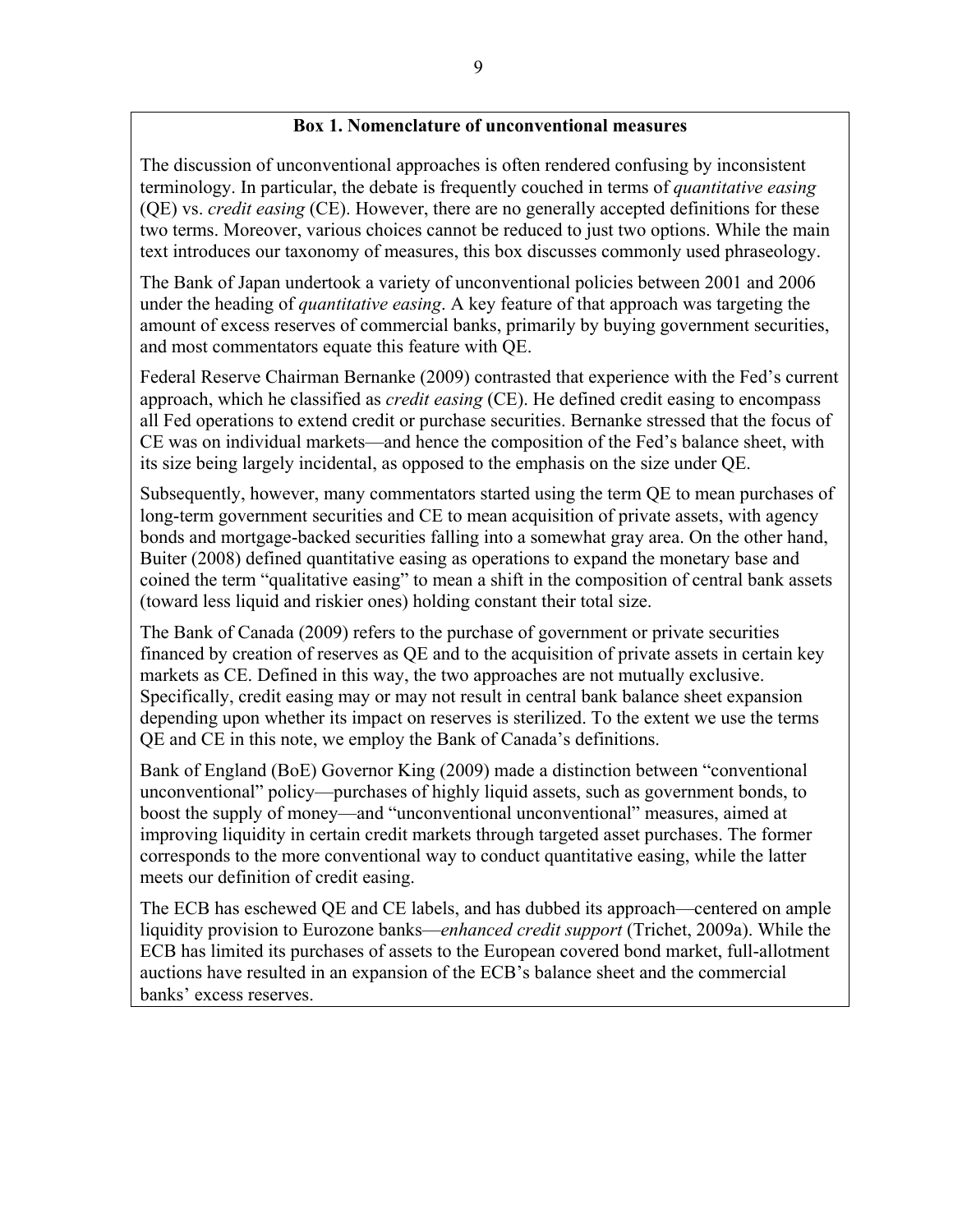#### **Box 1. Nomenclature of unconventional measures**

The discussion of unconventional approaches is often rendered confusing by inconsistent terminology. In particular, the debate is frequently couched in terms of *quantitative easing* (QE) vs. *credit easing* (CE). However, there are no generally accepted definitions for these two terms. Moreover, various choices cannot be reduced to just two options. While the main text introduces our taxonomy of measures, this box discusses commonly used phraseology.

The Bank of Japan undertook a variety of unconventional policies between 2001 and 2006 under the heading of *quantitative easing*. A key feature of that approach was targeting the amount of excess reserves of commercial banks, primarily by buying government securities, and most commentators equate this feature with QE.

Federal Reserve Chairman Bernanke (2009) contrasted that experience with the Fed's current approach, which he classified as *credit easing* (CE). He defined credit easing to encompass all Fed operations to extend credit or purchase securities. Bernanke stressed that the focus of CE was on individual markets—and hence the composition of the Fed's balance sheet, with its size being largely incidental, as opposed to the emphasis on the size under QE.

Subsequently, however, many commentators started using the term QE to mean purchases of long-term government securities and CE to mean acquisition of private assets, with agency bonds and mortgage-backed securities falling into a somewhat gray area. On the other hand, Buiter (2008) defined quantitative easing as operations to expand the monetary base and coined the term "qualitative easing" to mean a shift in the composition of central bank assets (toward less liquid and riskier ones) holding constant their total size.

The Bank of Canada (2009) refers to the purchase of government or private securities financed by creation of reserves as QE and to the acquisition of private assets in certain key markets as CE. Defined in this way, the two approaches are not mutually exclusive. Specifically, credit easing may or may not result in central bank balance sheet expansion depending upon whether its impact on reserves is sterilized. To the extent we use the terms QE and CE in this note, we employ the Bank of Canada's definitions.

Bank of England (BoE) Governor King (2009) made a distinction between "conventional unconventional" policy—purchases of highly liquid assets, such as government bonds, to boost the supply of money—and "unconventional unconventional" measures, aimed at improving liquidity in certain credit markets through targeted asset purchases. The former corresponds to the more conventional way to conduct quantitative easing, while the latter meets our definition of credit easing.

The ECB has eschewed QE and CE labels, and has dubbed its approach—centered on ample liquidity provision to Eurozone banks—*enhanced credit support* (Trichet, 2009a). While the ECB has limited its purchases of assets to the European covered bond market, full-allotment auctions have resulted in an expansion of the ECB's balance sheet and the commercial banks' excess reserves.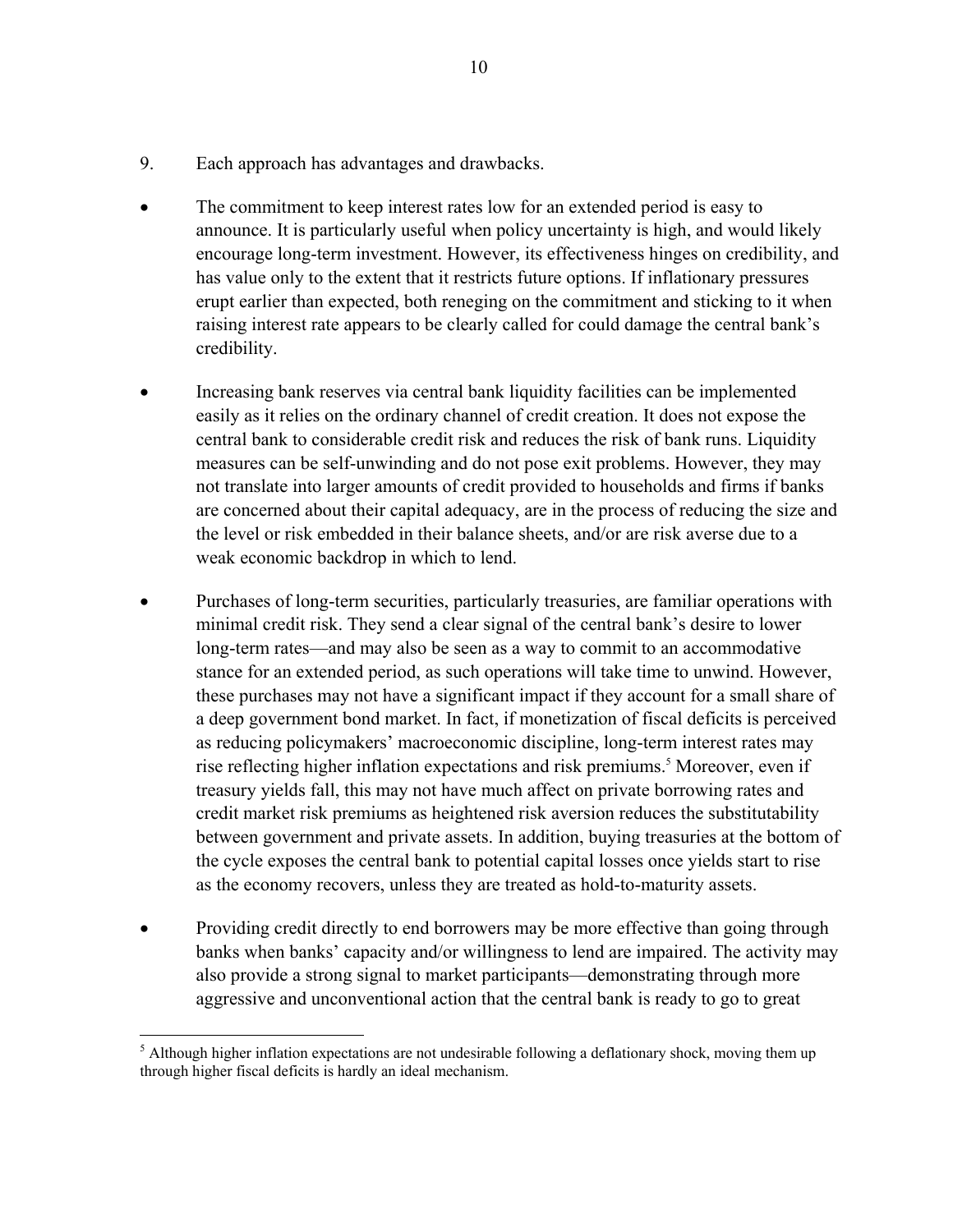- 9. Each approach has advantages and drawbacks.
- The commitment to keep interest rates low for an extended period is easy to announce. It is particularly useful when policy uncertainty is high, and would likely encourage long-term investment. However, its effectiveness hinges on credibility, and has value only to the extent that it restricts future options. If inflationary pressures erupt earlier than expected, both reneging on the commitment and sticking to it when raising interest rate appears to be clearly called for could damage the central bank's credibility.
- Increasing bank reserves via central bank liquidity facilities can be implemented easily as it relies on the ordinary channel of credit creation. It does not expose the central bank to considerable credit risk and reduces the risk of bank runs. Liquidity measures can be self-unwinding and do not pose exit problems. However, they may not translate into larger amounts of credit provided to households and firms if banks are concerned about their capital adequacy, are in the process of reducing the size and the level or risk embedded in their balance sheets, and/or are risk averse due to a weak economic backdrop in which to lend.
- Purchases of long-term securities, particularly treasuries, are familiar operations with minimal credit risk. They send a clear signal of the central bank's desire to lower long-term rates—and may also be seen as a way to commit to an accommodative stance for an extended period, as such operations will take time to unwind. However, these purchases may not have a significant impact if they account for a small share of a deep government bond market. In fact, if monetization of fiscal deficits is perceived as reducing policymakers' macroeconomic discipline, long-term interest rates may rise reflecting higher inflation expectations and risk premiums.<sup>5</sup> Moreover, even if treasury yields fall, this may not have much affect on private borrowing rates and credit market risk premiums as heightened risk aversion reduces the substitutability between government and private assets. In addition, buying treasuries at the bottom of the cycle exposes the central bank to potential capital losses once yields start to rise as the economy recovers, unless they are treated as hold-to-maturity assets.
- Providing credit directly to end borrowers may be more effective than going through banks when banks' capacity and/or willingness to lend are impaired. The activity may also provide a strong signal to market participants—demonstrating through more aggressive and unconventional action that the central bank is ready to go to great

 $\overline{a}$ <sup>5</sup> Although higher inflation expectations are not undesirable following a deflationary shock, moving them up through higher fiscal deficits is hardly an ideal mechanism.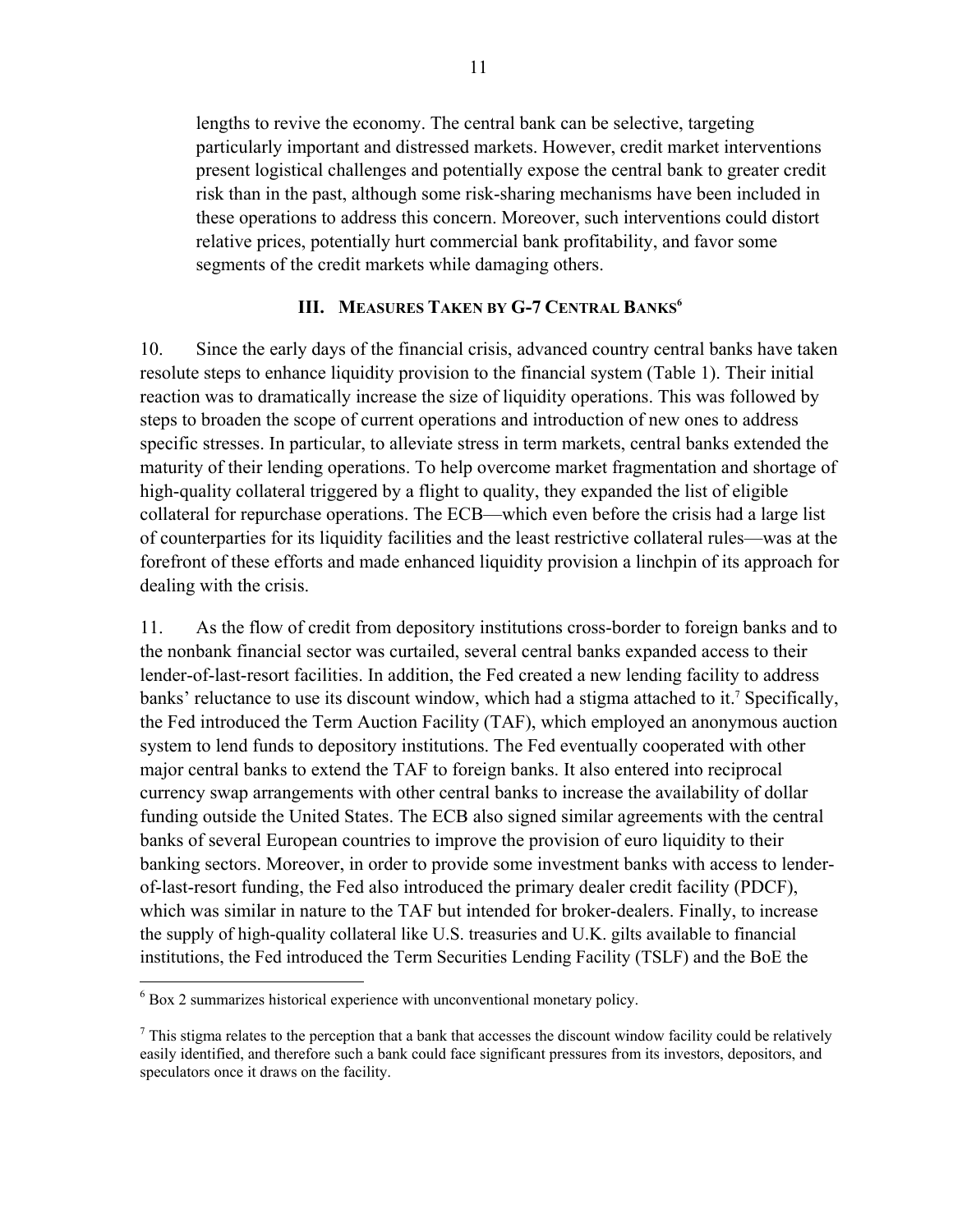lengths to revive the economy. The central bank can be selective, targeting particularly important and distressed markets. However, credit market interventions present logistical challenges and potentially expose the central bank to greater credit risk than in the past, although some risk-sharing mechanisms have been included in these operations to address this concern. Moreover, such interventions could distort relative prices, potentially hurt commercial bank profitability, and favor some segments of the credit markets while damaging others.

#### **III. MEASURES TAKEN BY G-7 CENTRAL BANKS<sup>6</sup>**

10. Since the early days of the financial crisis, advanced country central banks have taken resolute steps to enhance liquidity provision to the financial system (Table 1). Their initial reaction was to dramatically increase the size of liquidity operations. This was followed by steps to broaden the scope of current operations and introduction of new ones to address specific stresses. In particular, to alleviate stress in term markets, central banks extended the maturity of their lending operations. To help overcome market fragmentation and shortage of high-quality collateral triggered by a flight to quality, they expanded the list of eligible collateral for repurchase operations. The ECB—which even before the crisis had a large list of counterparties for its liquidity facilities and the least restrictive collateral rules—was at the forefront of these efforts and made enhanced liquidity provision a linchpin of its approach for dealing with the crisis.

11. As the flow of credit from depository institutions cross-border to foreign banks and to the nonbank financial sector was curtailed, several central banks expanded access to their lender-of-last-resort facilities. In addition, the Fed created a new lending facility to address banks' reluctance to use its discount window, which had a stigma attached to it.<sup>7</sup> Specifically, the Fed introduced the Term Auction Facility (TAF), which employed an anonymous auction system to lend funds to depository institutions. The Fed eventually cooperated with other major central banks to extend the TAF to foreign banks. It also entered into reciprocal currency swap arrangements with other central banks to increase the availability of dollar funding outside the United States. The ECB also signed similar agreements with the central banks of several European countries to improve the provision of euro liquidity to their banking sectors. Moreover, in order to provide some investment banks with access to lenderof-last-resort funding, the Fed also introduced the primary dealer credit facility (PDCF), which was similar in nature to the TAF but intended for broker-dealers. Finally, to increase the supply of high-quality collateral like U.S. treasuries and U.K. gilts available to financial institutions, the Fed introduced the Term Securities Lending Facility (TSLF) and the BoE the

 $\overline{a}$ 6 Box 2 summarizes historical experience with unconventional monetary policy.

 $<sup>7</sup>$  This stigma relates to the perception that a bank that accesses the discount window facility could be relatively</sup> easily identified, and therefore such a bank could face significant pressures from its investors, depositors, and speculators once it draws on the facility.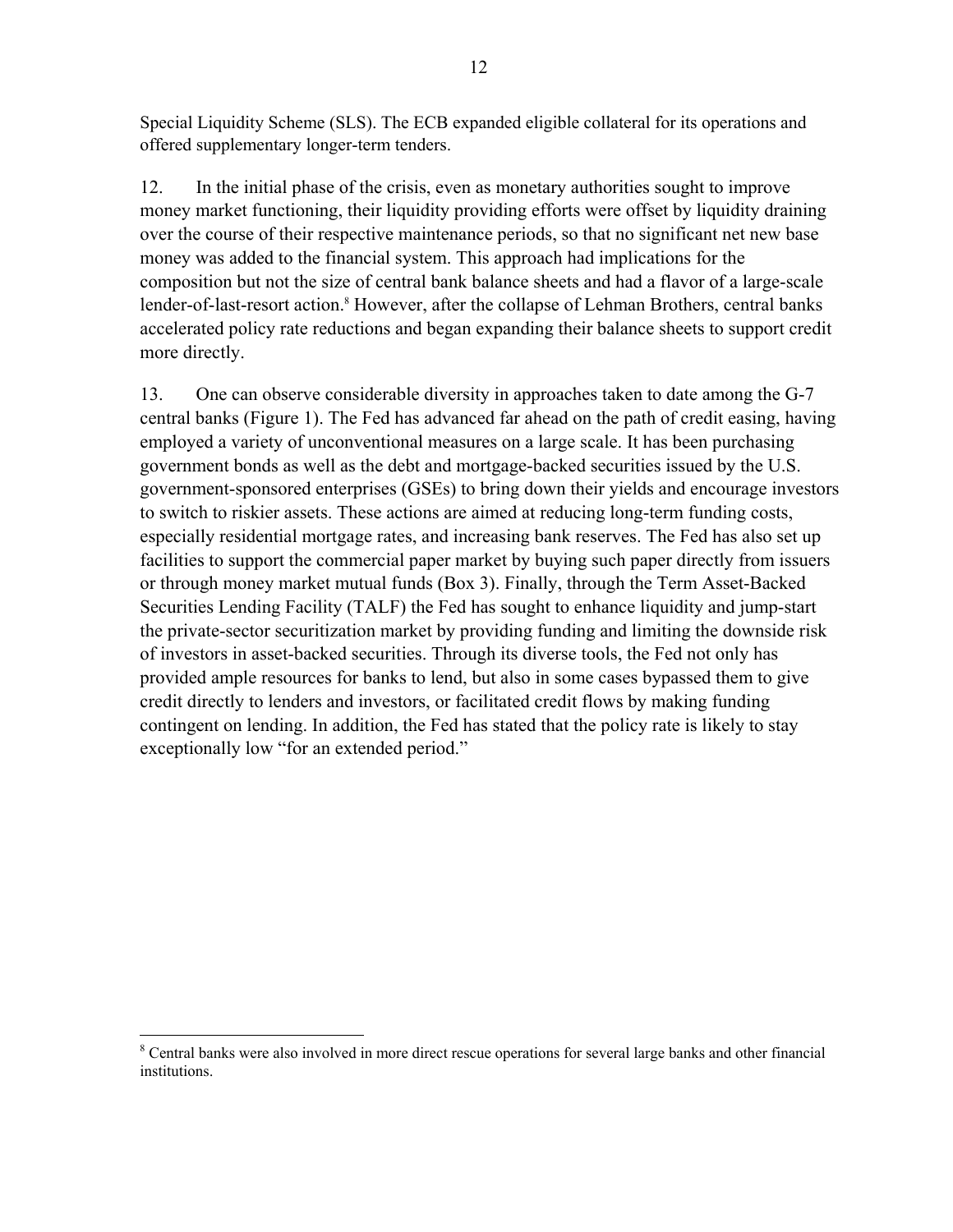Special Liquidity Scheme (SLS). The ECB expanded eligible collateral for its operations and offered supplementary longer-term tenders.

12. In the initial phase of the crisis, even as monetary authorities sought to improve money market functioning, their liquidity providing efforts were offset by liquidity draining over the course of their respective maintenance periods, so that no significant net new base money was added to the financial system. This approach had implications for the composition but not the size of central bank balance sheets and had a flavor of a large-scale lender-of-last-resort action.<sup>8</sup> However, after the collapse of Lehman Brothers, central banks accelerated policy rate reductions and began expanding their balance sheets to support credit more directly.

13. One can observe considerable diversity in approaches taken to date among the G-7 central banks (Figure 1). The Fed has advanced far ahead on the path of credit easing, having employed a variety of unconventional measures on a large scale. It has been purchasing government bonds as well as the debt and mortgage-backed securities issued by the U.S. government-sponsored enterprises (GSEs) to bring down their yields and encourage investors to switch to riskier assets. These actions are aimed at reducing long-term funding costs, especially residential mortgage rates, and increasing bank reserves. The Fed has also set up facilities to support the commercial paper market by buying such paper directly from issuers or through money market mutual funds (Box 3). Finally, through the Term Asset-Backed Securities Lending Facility (TALF) the Fed has sought to enhance liquidity and jump-start the private-sector securitization market by providing funding and limiting the downside risk of investors in asset-backed securities. Through its diverse tools, the Fed not only has provided ample resources for banks to lend, but also in some cases bypassed them to give credit directly to lenders and investors, or facilitated credit flows by making funding contingent on lending. In addition, the Fed has stated that the policy rate is likely to stay exceptionally low "for an extended period."

 $\overline{a}$ <sup>8</sup> Central banks were also involved in more direct rescue operations for several large banks and other financial institutions.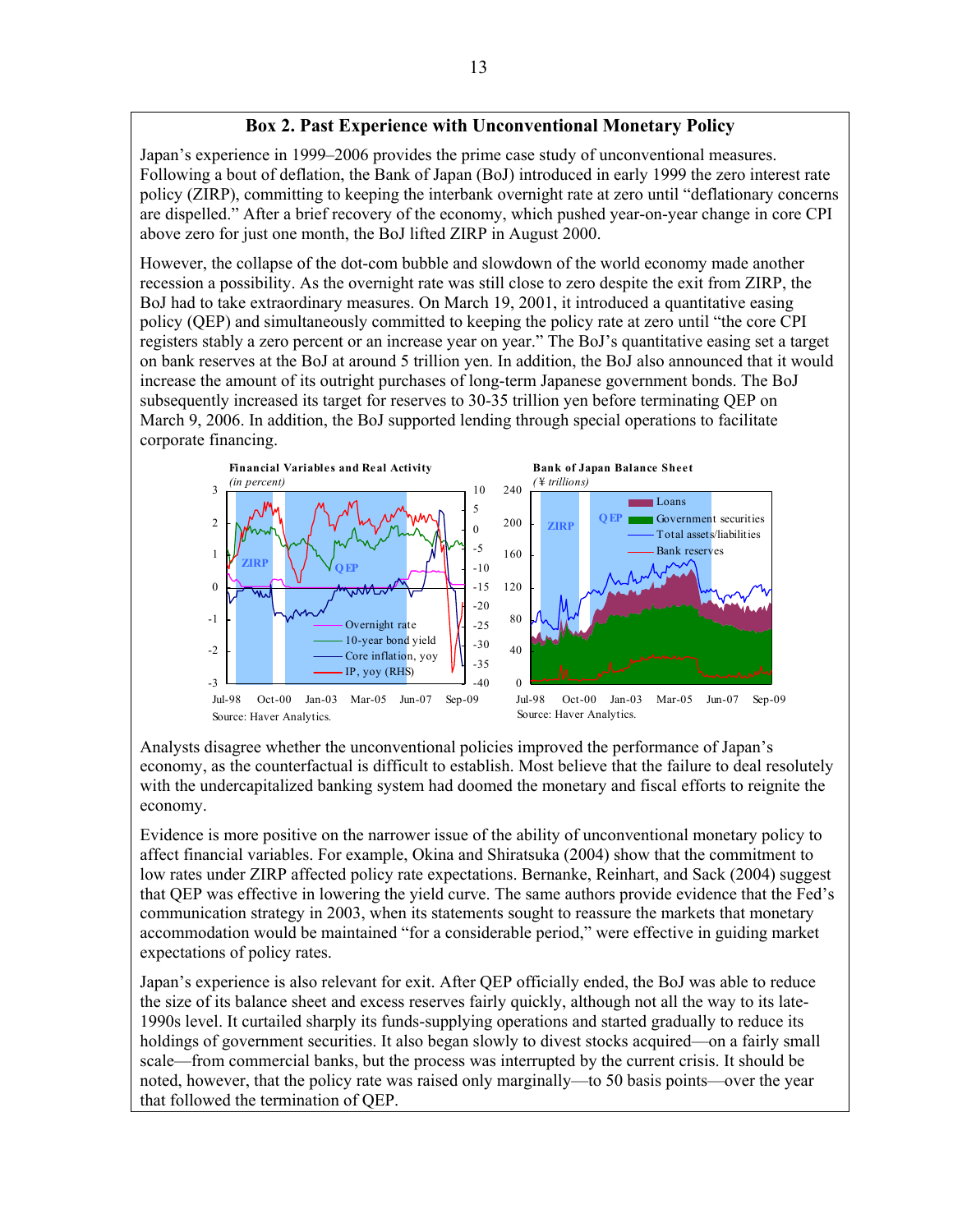### **Box 2. Past Experience with Unconventional Monetary Policy**

Japan's experience in 1999–2006 provides the prime case study of unconventional measures. Following a bout of deflation, the Bank of Japan (BoJ) introduced in early 1999 the zero interest rate policy (ZIRP), committing to keeping the interbank overnight rate at zero until "deflationary concerns are dispelled." After a brief recovery of the economy, which pushed year-on-year change in core CPI above zero for just one month, the BoJ lifted ZIRP in August 2000.

However, the collapse of the dot-com bubble and slowdown of the world economy made another recession a possibility. As the overnight rate was still close to zero despite the exit from ZIRP, the BoJ had to take extraordinary measures. On March 19, 2001, it introduced a quantitative easing policy (QEP) and simultaneously committed to keeping the policy rate at zero until "the core CPI registers stably a zero percent or an increase year on year." The BoJ's quantitative easing set a target on bank reserves at the BoJ at around 5 trillion yen. In addition, the BoJ also announced that it would increase the amount of its outright purchases of long-term Japanese government bonds. The BoJ subsequently increased its target for reserves to 30-35 trillion yen before terminating QEP on March 9, 2006. In addition, the BoJ supported lending through special operations to facilitate corporate financing.



 Analysts disagree whether the unconventional policies improved the performance of Japan's economy, as the counterfactual is difficult to establish. Most believe that the failure to deal resolutely with the undercapitalized banking system had doomed the monetary and fiscal efforts to reignite the economy.

Evidence is more positive on the narrower issue of the ability of unconventional monetary policy to affect financial variables. For example, Okina and Shiratsuka (2004) show that the commitment to low rates under ZIRP affected policy rate expectations. Bernanke, Reinhart, and Sack (2004) suggest that QEP was effective in lowering the yield curve. The same authors provide evidence that the Fed's communication strategy in 2003, when its statements sought to reassure the markets that monetary accommodation would be maintained "for a considerable period," were effective in guiding market expectations of policy rates.

Japan's experience is also relevant for exit. After QEP officially ended, the BoJ was able to reduce the size of its balance sheet and excess reserves fairly quickly, although not all the way to its late-1990s level. It curtailed sharply its funds-supplying operations and started gradually to reduce its holdings of government securities. It also began slowly to divest stocks acquired—on a fairly small scale—from commercial banks, but the process was interrupted by the current crisis. It should be noted, however, that the policy rate was raised only marginally—to 50 basis points—over the year that followed the termination of QEP.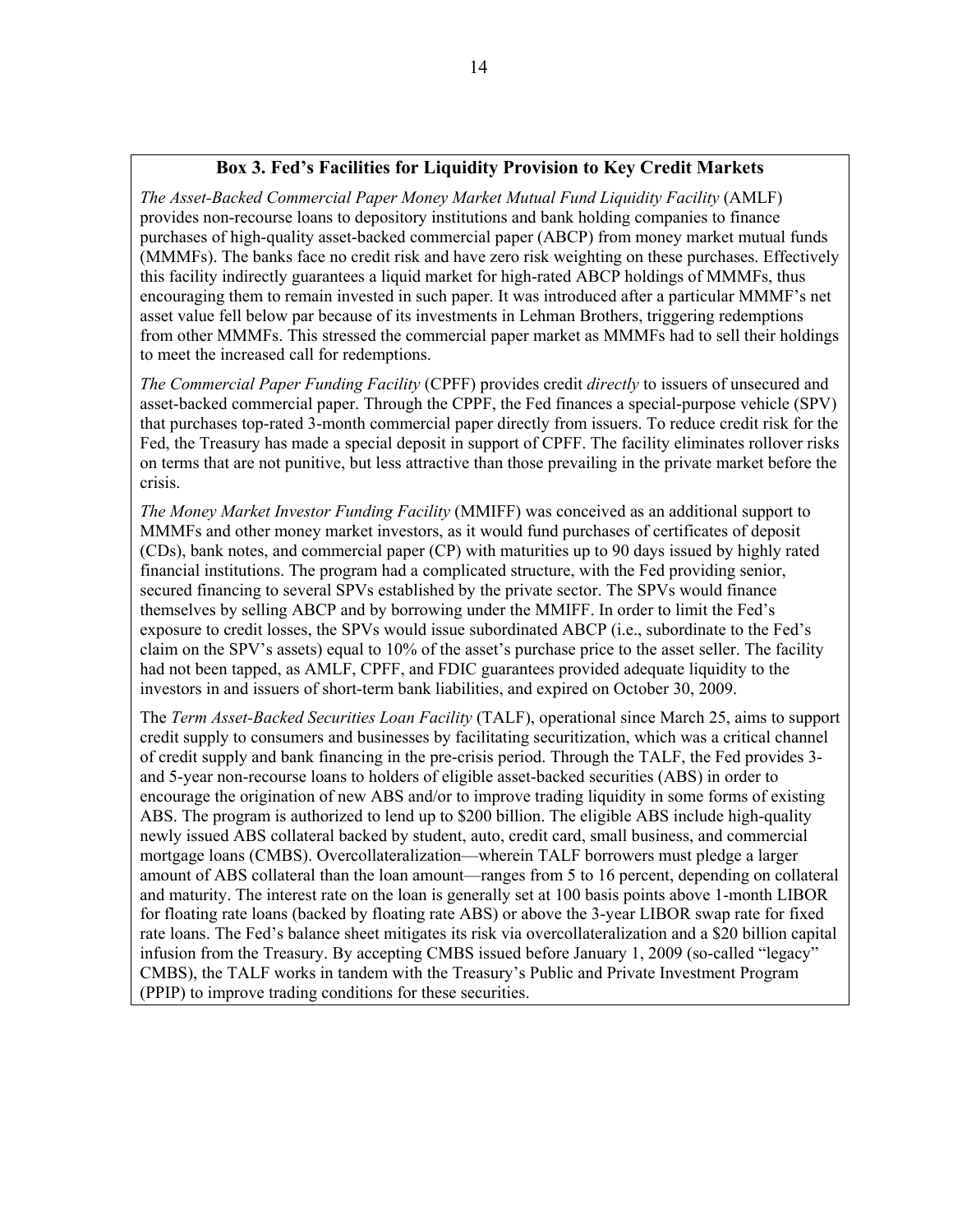#### **Box 3. Fed's Facilities for Liquidity Provision to Key Credit Markets**

*The Asset-Backed Commercial Paper Money Market Mutual Fund Liquidity Facility* (AMLF) provides non-recourse loans to depository institutions and bank holding companies to finance purchases of high-quality asset-backed commercial paper (ABCP) from money market mutual funds (MMMFs). The banks face no credit risk and have zero risk weighting on these purchases. Effectively this facility indirectly guarantees a liquid market for high-rated ABCP holdings of MMMFs, thus encouraging them to remain invested in such paper. It was introduced after a particular MMMF's net asset value fell below par because of its investments in Lehman Brothers, triggering redemptions from other MMMFs. This stressed the commercial paper market as MMMFs had to sell their holdings to meet the increased call for redemptions.

*The Commercial Paper Funding Facility* (CPFF) provides credit *directly* to issuers of unsecured and asset-backed commercial paper. Through the CPPF, the Fed finances a special-purpose vehicle (SPV) that purchases top-rated 3-month commercial paper directly from issuers. To reduce credit risk for the Fed, the Treasury has made a special deposit in support of CPFF. The facility eliminates rollover risks on terms that are not punitive, but less attractive than those prevailing in the private market before the crisis.

*The Money Market Investor Funding Facility* (MMIFF) was conceived as an additional support to MMMFs and other money market investors, as it would fund purchases of certificates of deposit (CDs), bank notes, and commercial paper (CP) with maturities up to 90 days issued by highly rated financial institutions. The program had a complicated structure, with the Fed providing senior, secured financing to several SPVs established by the private sector. The SPVs would finance themselves by selling ABCP and by borrowing under the MMIFF. In order to limit the Fed's exposure to credit losses, the SPVs would issue subordinated ABCP (i.e., subordinate to the Fed's claim on the SPV's assets) equal to 10% of the asset's purchase price to the asset seller. The facility had not been tapped, as AMLF, CPFF, and FDIC guarantees provided adequate liquidity to the investors in and issuers of short-term bank liabilities, and expired on October 30, 2009.

The *Term Asset-Backed Securities Loan Facility* (TALF), operational since March 25, aims to support credit supply to consumers and businesses by facilitating securitization, which was a critical channel of credit supply and bank financing in the pre-crisis period. Through the TALF, the Fed provides 3 and 5-year non-recourse loans to holders of eligible asset-backed securities (ABS) in order to encourage the origination of new ABS and/or to improve trading liquidity in some forms of existing ABS. The program is authorized to lend up to \$200 billion. The eligible ABS include high-quality newly issued ABS collateral backed by student, auto, credit card, small business, and commercial mortgage loans (CMBS). Overcollateralization—wherein TALF borrowers must pledge a larger amount of ABS collateral than the loan amount—ranges from 5 to 16 percent, depending on collateral and maturity. The interest rate on the loan is generally set at 100 basis points above 1-month LIBOR for floating rate loans (backed by floating rate ABS) or above the 3-year LIBOR swap rate for fixed rate loans. The Fed's balance sheet mitigates its risk via overcollateralization and a \$20 billion capital infusion from the Treasury. By accepting CMBS issued before January 1, 2009 (so-called "legacy" CMBS), the TALF works in tandem with the Treasury's Public and Private Investment Program (PPIP) to improve trading conditions for these securities.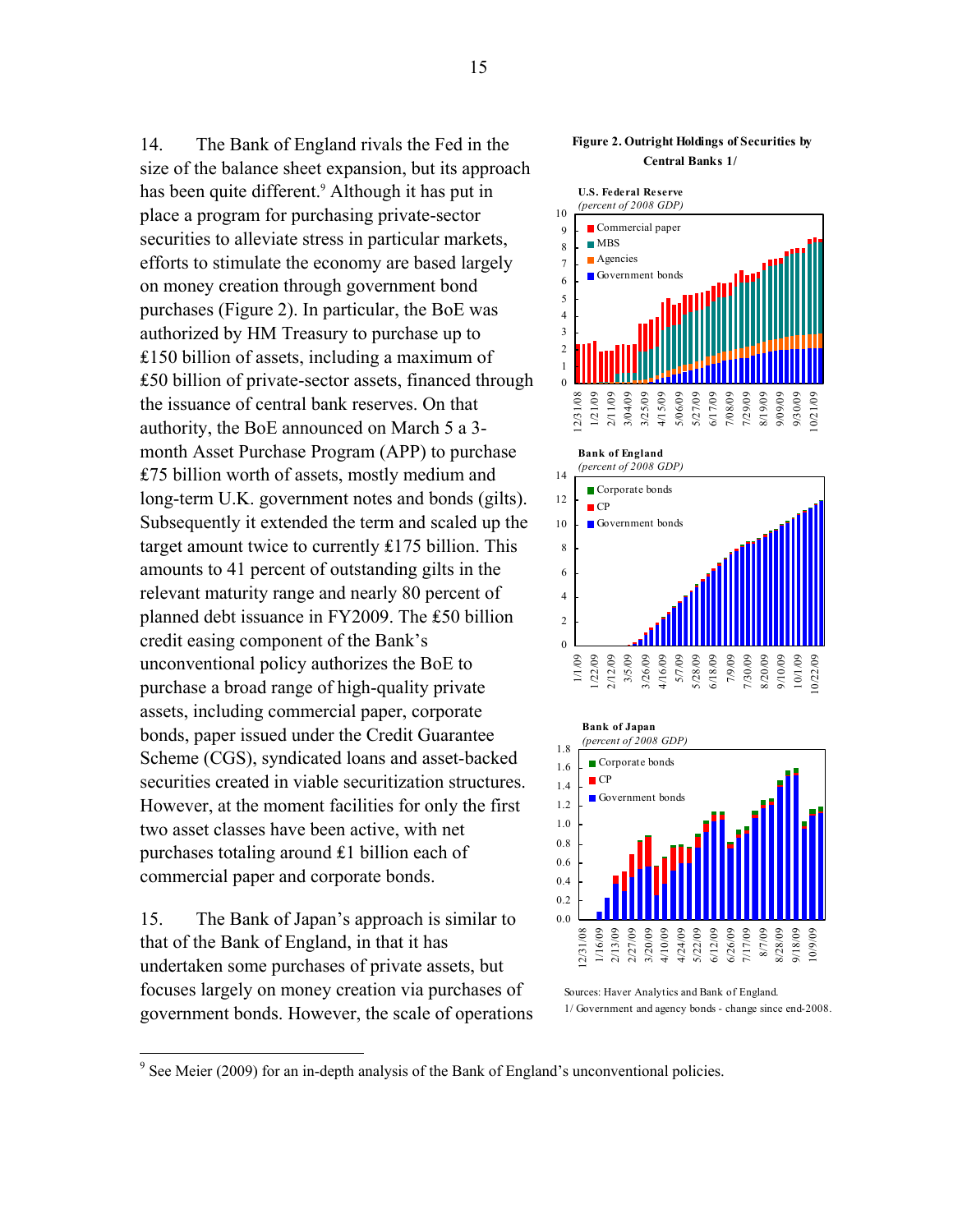14. The Bank of England rivals the Fed in the size of the balance sheet expansion, but its approach has been quite different.<sup>9</sup> Although it has put in place a program for purchasing private-sector securities to alleviate stress in particular markets, efforts to stimulate the economy are based largely on money creation through government bond purchases (Figure 2). In particular, the BoE was authorized by HM Treasury to purchase up to  $£150$  billion of assets, including a maximum of ₤50 billion of private-sector assets, financed through the issuance of central bank reserves. On that authority, the BoE announced on March 5 a 3 month Asset Purchase Program (APP) to purchase ₤75 billion worth of assets, mostly medium and long-term U.K. government notes and bonds (gilts). Subsequently it extended the term and scaled up the target amount twice to currently ₤175 billion. This amounts to 41 percent of outstanding gilts in the relevant maturity range and nearly 80 percent of planned debt issuance in FY2009. The £50 billion credit easing component of the Bank's unconventional policy authorizes the BoE to purchase a broad range of high-quality private assets, including commercial paper, corporate bonds, paper issued under the Credit Guarantee Scheme (CGS), syndicated loans and asset-backed securities created in viable securitization structures. However, at the moment facilities for only the first two asset classes have been active, with net purchases totaling around ₤1 billion each of commercial paper and corporate bonds.

15. The Bank of Japan's approach is similar to that of the Bank of England, in that it has undertaken some purchases of private assets, but focuses largely on money creation via purchases of government bonds. However, the scale of operations

#### **Figure 2. Outright Holdings of Securities by Central Banks 1/**





Sources: Haver Analytics and Bank of England. 1/ Government and agency bonds - change since end-2008.

<sup>&</sup>lt;sup>9</sup> See Meier (2009) for an in-depth analysis of the Bank of England's unconventional policies.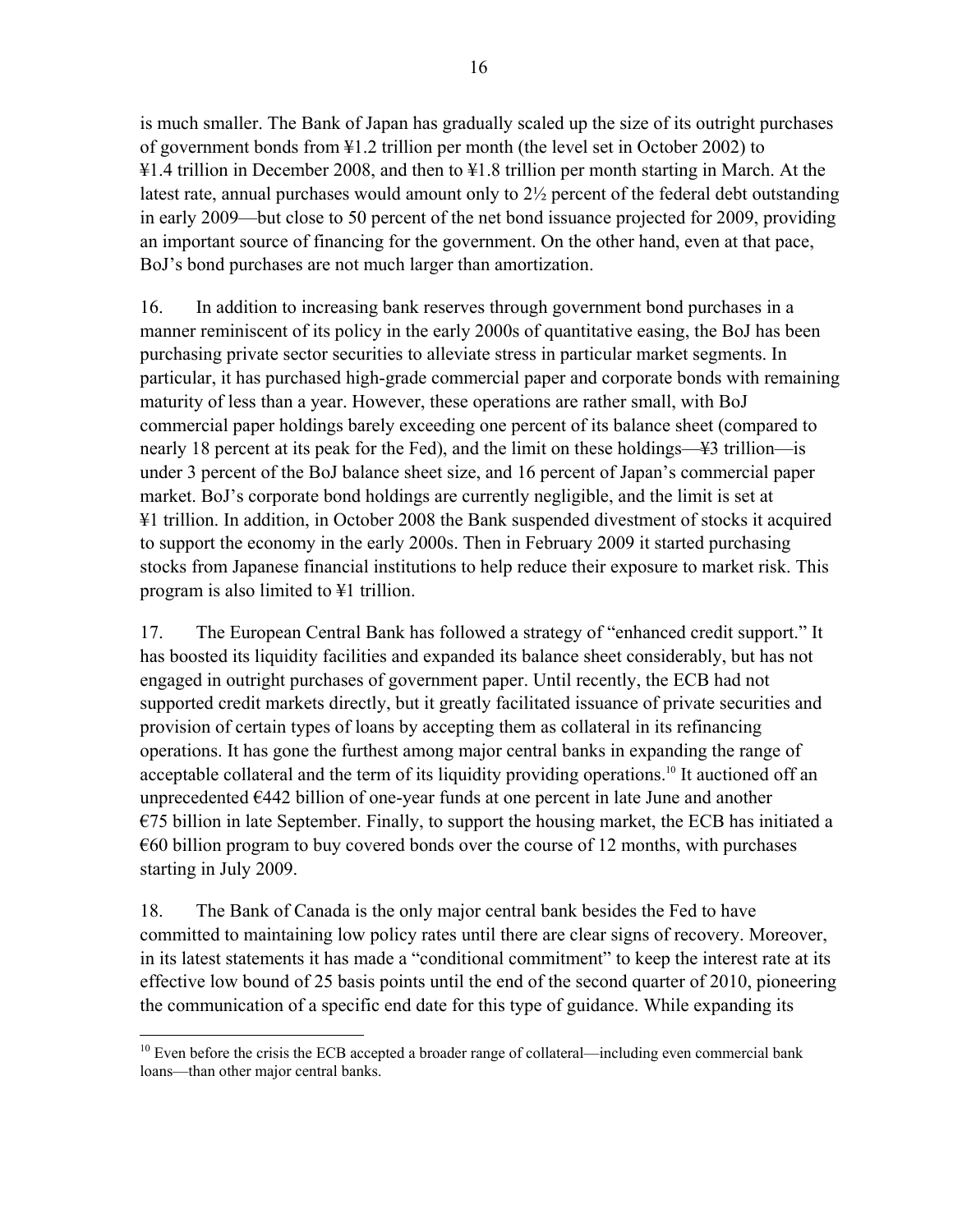is much smaller. The Bank of Japan has gradually scaled up the size of its outright purchases of government bonds from ¥1.2 trillion per month (the level set in October 2002) to ¥1.4 trillion in December 2008, and then to ¥1.8 trillion per month starting in March. At the latest rate, annual purchases would amount only to 2½ percent of the federal debt outstanding in early 2009—but close to 50 percent of the net bond issuance projected for 2009, providing an important source of financing for the government. On the other hand, even at that pace, BoJ's bond purchases are not much larger than amortization.

16. In addition to increasing bank reserves through government bond purchases in a manner reminiscent of its policy in the early 2000s of quantitative easing, the BoJ has been purchasing private sector securities to alleviate stress in particular market segments. In particular, it has purchased high-grade commercial paper and corporate bonds with remaining maturity of less than a year. However, these operations are rather small, with BoJ commercial paper holdings barely exceeding one percent of its balance sheet (compared to nearly 18 percent at its peak for the Fed), and the limit on these holdings—¥3 trillion—is under 3 percent of the BoJ balance sheet size, and 16 percent of Japan's commercial paper market. BoJ's corporate bond holdings are currently negligible, and the limit is set at ¥1 trillion. In addition, in October 2008 the Bank suspended divestment of stocks it acquired to support the economy in the early 2000s. Then in February 2009 it started purchasing stocks from Japanese financial institutions to help reduce their exposure to market risk. This program is also limited to ¥1 trillion.

17. The European Central Bank has followed a strategy of "enhanced credit support." It has boosted its liquidity facilities and expanded its balance sheet considerably, but has not engaged in outright purchases of government paper. Until recently, the ECB had not supported credit markets directly, but it greatly facilitated issuance of private securities and provision of certain types of loans by accepting them as collateral in its refinancing operations. It has gone the furthest among major central banks in expanding the range of acceptable collateral and the term of its liquidity providing operations.<sup>10</sup> It auctioned off an unprecedented €442 billion of one-year funds at one percent in late June and another  $E$ 5 billion in late September. Finally, to support the housing market, the ECB has initiated a  $\epsilon$ 60 billion program to buy covered bonds over the course of 12 months, with purchases starting in July 2009.

18. The Bank of Canada is the only major central bank besides the Fed to have committed to maintaining low policy rates until there are clear signs of recovery. Moreover, in its latest statements it has made a "conditional commitment" to keep the interest rate at its effective low bound of 25 basis points until the end of the second quarter of 2010, pioneering the communication of a specific end date for this type of guidance. While expanding its

 $\overline{a}$  $10$  Even before the crisis the ECB accepted a broader range of collateral—including even commercial bank loans—than other major central banks.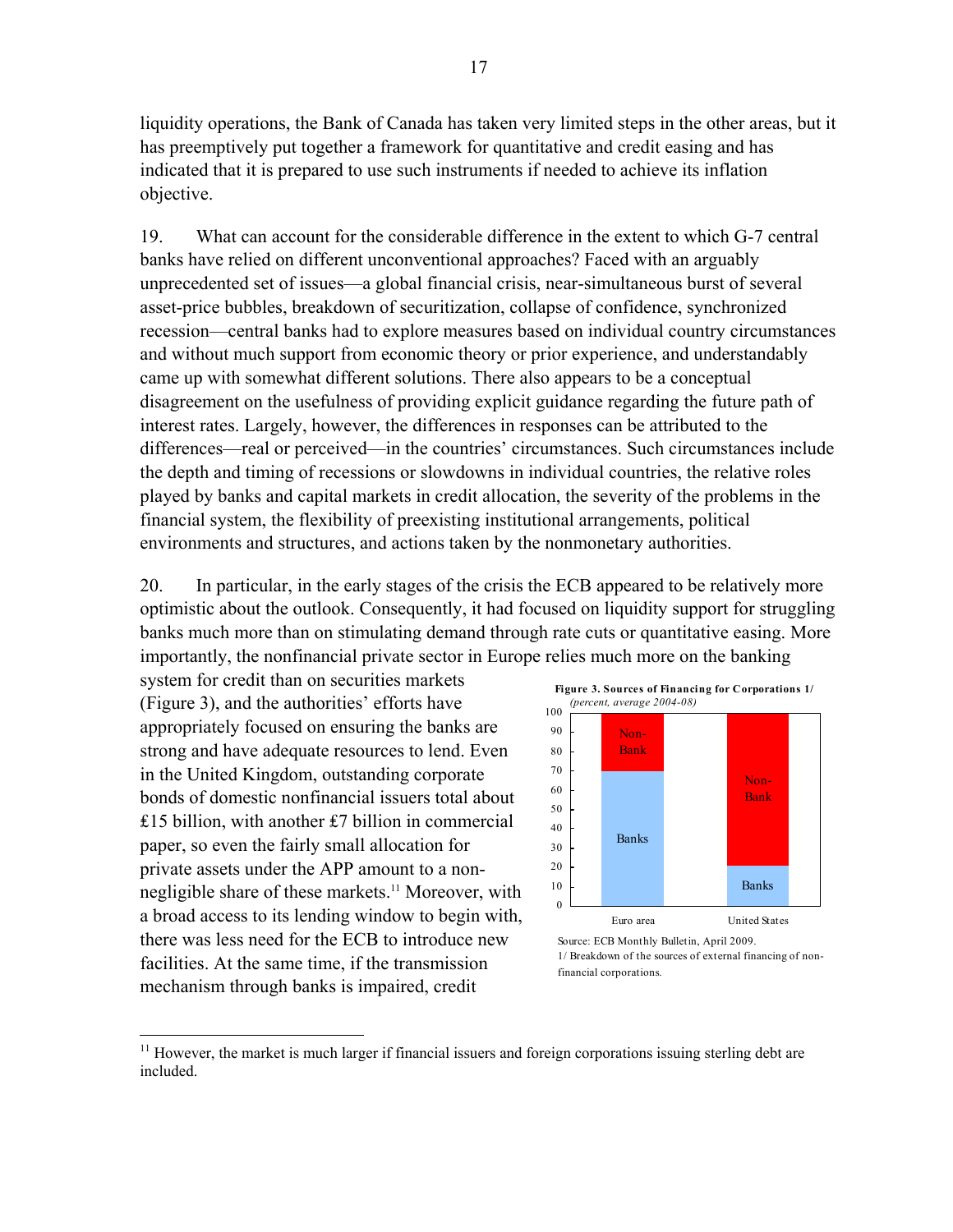liquidity operations, the Bank of Canada has taken very limited steps in the other areas, but it has preemptively put together a framework for quantitative and credit easing and has indicated that it is prepared to use such instruments if needed to achieve its inflation objective.

19. What can account for the considerable difference in the extent to which G-7 central banks have relied on different unconventional approaches? Faced with an arguably unprecedented set of issues—a global financial crisis, near-simultaneous burst of several asset-price bubbles, breakdown of securitization, collapse of confidence, synchronized recession—central banks had to explore measures based on individual country circumstances and without much support from economic theory or prior experience, and understandably came up with somewhat different solutions. There also appears to be a conceptual disagreement on the usefulness of providing explicit guidance regarding the future path of interest rates. Largely, however, the differences in responses can be attributed to the differences—real or perceived—in the countries' circumstances. Such circumstances include the depth and timing of recessions or slowdowns in individual countries, the relative roles played by banks and capital markets in credit allocation, the severity of the problems in the financial system, the flexibility of preexisting institutional arrangements, political environments and structures, and actions taken by the nonmonetary authorities.

20. In particular, in the early stages of the crisis the ECB appeared to be relatively more optimistic about the outlook. Consequently, it had focused on liquidity support for struggling banks much more than on stimulating demand through rate cuts or quantitative easing. More importantly, the nonfinancial private sector in Europe relies much more on the banking

system for credit than on securities markets (Figure 3), and the authorities' efforts have appropriately focused on ensuring the banks are strong and have adequate resources to lend. Even in the United Kingdom, outstanding corporate bonds of domestic nonfinancial issuers total about ₤15 billion, with another ₤7 billion in commercial paper, so even the fairly small allocation for private assets under the APP amount to a nonnegligible share of these markets.<sup>11</sup> Moreover, with a broad access to its lending window to begin with, there was less need for the ECB to introduce new facilities. At the same time, if the transmission mechanism through banks is impaired, credit

 $\overline{a}$ 



<sup>&</sup>lt;sup>11</sup> However, the market is much larger if financial issuers and foreign corporations issuing sterling debt are included.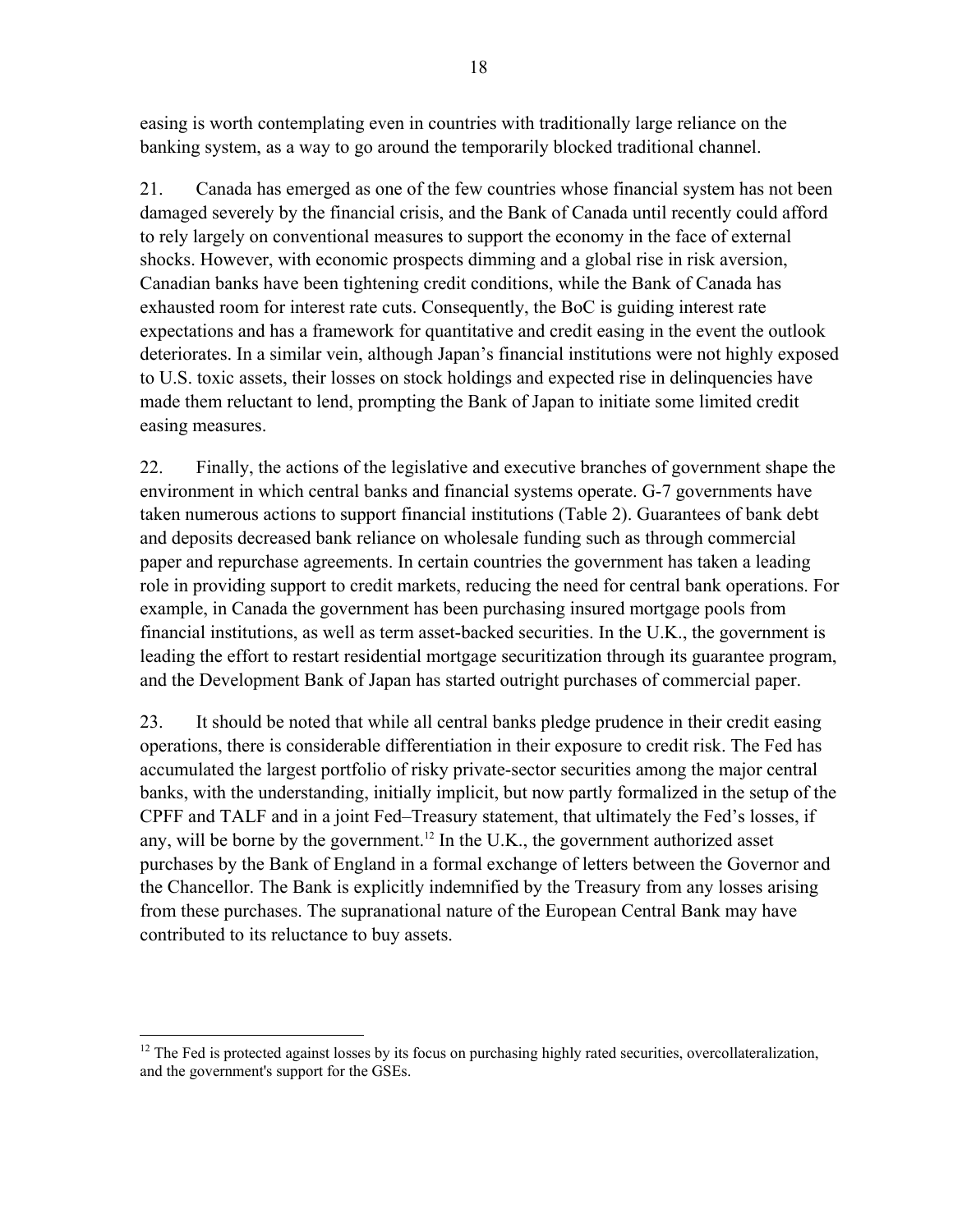easing is worth contemplating even in countries with traditionally large reliance on the banking system, as a way to go around the temporarily blocked traditional channel.

21. Canada has emerged as one of the few countries whose financial system has not been damaged severely by the financial crisis, and the Bank of Canada until recently could afford to rely largely on conventional measures to support the economy in the face of external shocks. However, with economic prospects dimming and a global rise in risk aversion, Canadian banks have been tightening credit conditions, while the Bank of Canada has exhausted room for interest rate cuts. Consequently, the BoC is guiding interest rate expectations and has a framework for quantitative and credit easing in the event the outlook deteriorates. In a similar vein, although Japan's financial institutions were not highly exposed to U.S. toxic assets, their losses on stock holdings and expected rise in delinquencies have made them reluctant to lend, prompting the Bank of Japan to initiate some limited credit easing measures.

22. Finally, the actions of the legislative and executive branches of government shape the environment in which central banks and financial systems operate. G-7 governments have taken numerous actions to support financial institutions (Table 2). Guarantees of bank debt and deposits decreased bank reliance on wholesale funding such as through commercial paper and repurchase agreements. In certain countries the government has taken a leading role in providing support to credit markets, reducing the need for central bank operations. For example, in Canada the government has been purchasing insured mortgage pools from financial institutions, as well as term asset-backed securities. In the U.K., the government is leading the effort to restart residential mortgage securitization through its guarantee program, and the Development Bank of Japan has started outright purchases of commercial paper.

23. It should be noted that while all central banks pledge prudence in their credit easing operations, there is considerable differentiation in their exposure to credit risk. The Fed has accumulated the largest portfolio of risky private-sector securities among the major central banks, with the understanding, initially implicit, but now partly formalized in the setup of the CPFF and TALF and in a joint Fed–Treasury statement, that ultimately the Fed's losses, if any, will be borne by the government.<sup>12</sup> In the U.K., the government authorized asset purchases by the Bank of England in a formal exchange of letters between the Governor and the Chancellor. The Bank is explicitly indemnified by the Treasury from any losses arising from these purchases. The supranational nature of the European Central Bank may have contributed to its reluctance to buy assets.

 $\overline{a}$ <sup>12</sup> The Fed is protected against losses by its focus on purchasing highly rated securities, overcollateralization, and the government's support for the GSEs.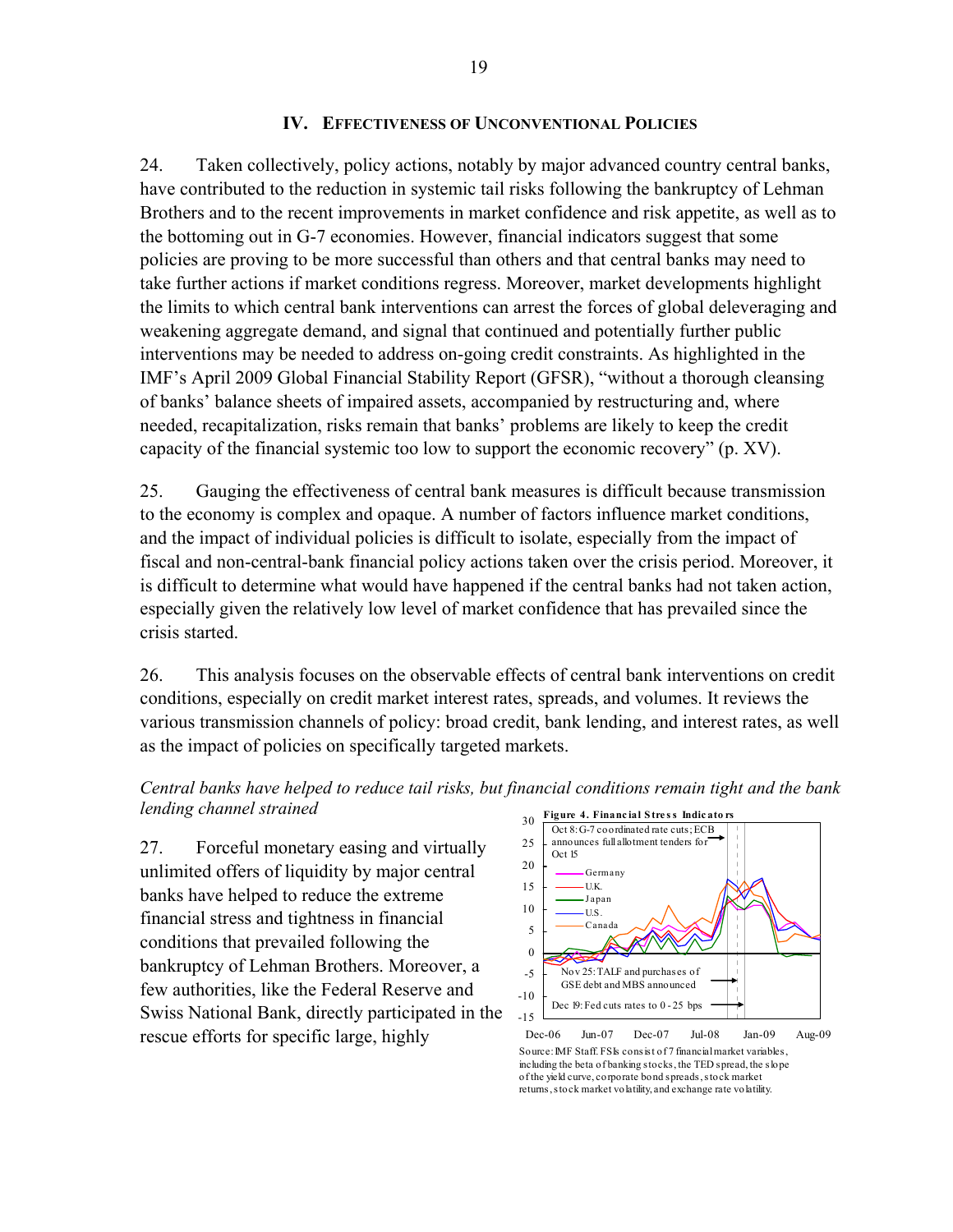#### **IV. EFFECTIVENESS OF UNCONVENTIONAL POLICIES**

24. Taken collectively, policy actions, notably by major advanced country central banks, have contributed to the reduction in systemic tail risks following the bankruptcy of Lehman Brothers and to the recent improvements in market confidence and risk appetite, as well as to the bottoming out in G-7 economies. However, financial indicators suggest that some policies are proving to be more successful than others and that central banks may need to take further actions if market conditions regress. Moreover, market developments highlight the limits to which central bank interventions can arrest the forces of global deleveraging and weakening aggregate demand, and signal that continued and potentially further public interventions may be needed to address on-going credit constraints. As highlighted in the IMF's April 2009 Global Financial Stability Report (GFSR), "without a thorough cleansing of banks' balance sheets of impaired assets, accompanied by restructuring and, where needed, recapitalization, risks remain that banks' problems are likely to keep the credit capacity of the financial systemic too low to support the economic recovery" (p. XV).

25. Gauging the effectiveness of central bank measures is difficult because transmission to the economy is complex and opaque. A number of factors influence market conditions, and the impact of individual policies is difficult to isolate, especially from the impact of fiscal and non-central-bank financial policy actions taken over the crisis period. Moreover, it is difficult to determine what would have happened if the central banks had not taken action, especially given the relatively low level of market confidence that has prevailed since the crisis started.

26. This analysis focuses on the observable effects of central bank interventions on credit conditions, especially on credit market interest rates, spreads, and volumes. It reviews the various transmission channels of policy: broad credit, bank lending, and interest rates, as well as the impact of policies on specifically targeted markets.



27. Forceful monetary easing and virtually unlimited offers of liquidity by major central banks have helped to reduce the extreme financial stress and tightness in financial conditions that prevailed following the bankruptcy of Lehman Brothers. Moreover, a few authorities, like the Federal Reserve and Swiss National Bank, directly participated in the rescue efforts for specific large, highly



Source: IMF Staff. FSIs consist of 7 financial market variables, including the beta of banking stocks, the TED spread, the slope of the yield curve, corporate bond spreads, stock market returns, stock market volatility, and exchange rate volatility.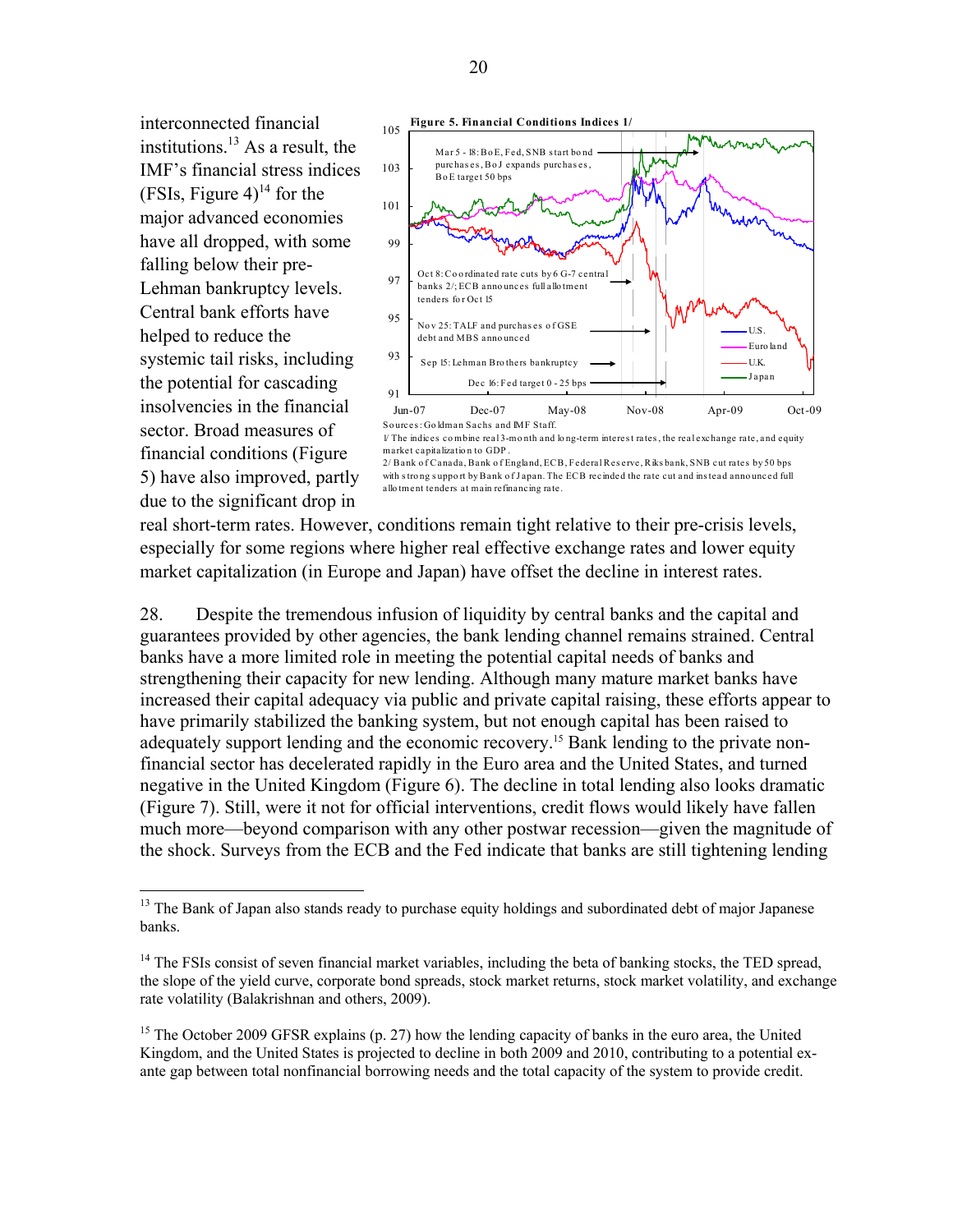interconnected financial institutions. $^{13}$  As a result, the IMF's financial stress indices (FSIs, Figure 4)<sup>14</sup> for the major advanced economies have all dropped, with some falling below their pre-Lehman bankruptcy levels. Central bank efforts have helped to reduce the systemic tail risks, including the potential for cascading insolvencies in the financial sector. Broad measures of financial conditions (Figure 5) have also improved, partly due to the significant drop in

 $\overline{a}$ 



2/ Bank o f Canada, Bank o f England, ECB, Federal Res erve, Riks bank, SNB cut rates by 50 bps with s tro ng s uppo rt by Bank o f J apan. The ECB recinded the rate cut and ins tead anno unced full allo tment tenders at main refinancing rate.

real short-term rates. However, conditions remain tight relative to their pre-crisis levels, especially for some regions where higher real effective exchange rates and lower equity market capitalization (in Europe and Japan) have offset the decline in interest rates.

28. Despite the tremendous infusion of liquidity by central banks and the capital and guarantees provided by other agencies, the bank lending channel remains strained. Central banks have a more limited role in meeting the potential capital needs of banks and strengthening their capacity for new lending. Although many mature market banks have increased their capital adequacy via public and private capital raising, these efforts appear to have primarily stabilized the banking system, but not enough capital has been raised to adequately support lending and the economic recovery.<sup>15</sup> Bank lending to the private nonfinancial sector has decelerated rapidly in the Euro area and the United States, and turned negative in the United Kingdom (Figure 6). The decline in total lending also looks dramatic (Figure 7). Still, were it not for official interventions, credit flows would likely have fallen much more—beyond comparison with any other postwar recession—given the magnitude of the shock. Surveys from the ECB and the Fed indicate that banks are still tightening lending

<sup>&</sup>lt;sup>13</sup> The Bank of Japan also stands ready to purchase equity holdings and subordinated debt of major Japanese banks.

<sup>&</sup>lt;sup>14</sup> The FSIs consist of seven financial market variables, including the beta of banking stocks, the TED spread, the slope of the yield curve, corporate bond spreads, stock market returns, stock market volatility, and exchange rate volatility (Balakrishnan and others, 2009).

<sup>&</sup>lt;sup>15</sup> The October 2009 GFSR explains (p. 27) how the lending capacity of banks in the euro area, the United Kingdom, and the United States is projected to decline in both 2009 and 2010, contributing to a potential exante gap between total nonfinancial borrowing needs and the total capacity of the system to provide credit.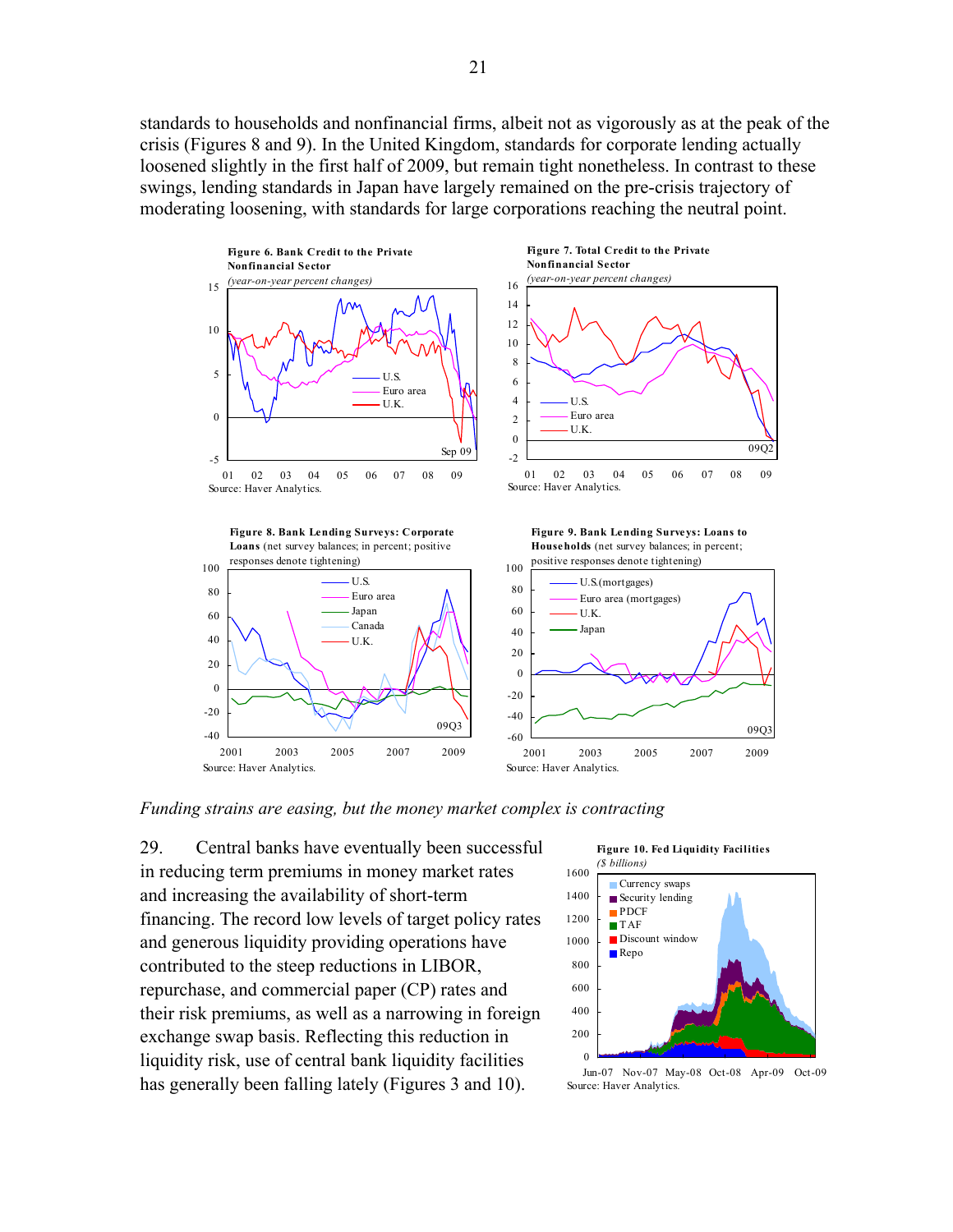standards to households and nonfinancial firms, albeit not as vigorously as at the peak of the crisis (Figures 8 and 9). In the United Kingdom, standards for corporate lending actually loosened slightly in the first half of 2009, but remain tight nonetheless. In contrast to these swings, lending standards in Japan have largely remained on the pre-crisis trajectory of moderating loosening, with standards for large corporations reaching the neutral point.







2001 2003 2005 2007 2009

 $-40$ -20

Source: Haver Analytics.

**Figure 9. Bank Lending Surveys: Loans to Households** (net survey balances; in percent;



*Funding strains are easing, but the money market complex is contracting*

09Q3

29. Central banks have eventually been successful in reducing term premiums in money market rates and increasing the availability of short-term financing. The record low levels of target policy rates and generous liquidity providing operations have contributed to the steep reductions in LIBOR, repurchase, and commercial paper (CP) rates and their risk premiums, as well as a narrowing in foreign exchange swap basis. Reflecting this reduction in liquidity risk, use of central bank liquidity facilities has generally been falling lately (Figures 3 and 10).



Jun-07 Nov-07 May-08 Oct-08 Apr-09 Oct-09 Source: Haver Analytics.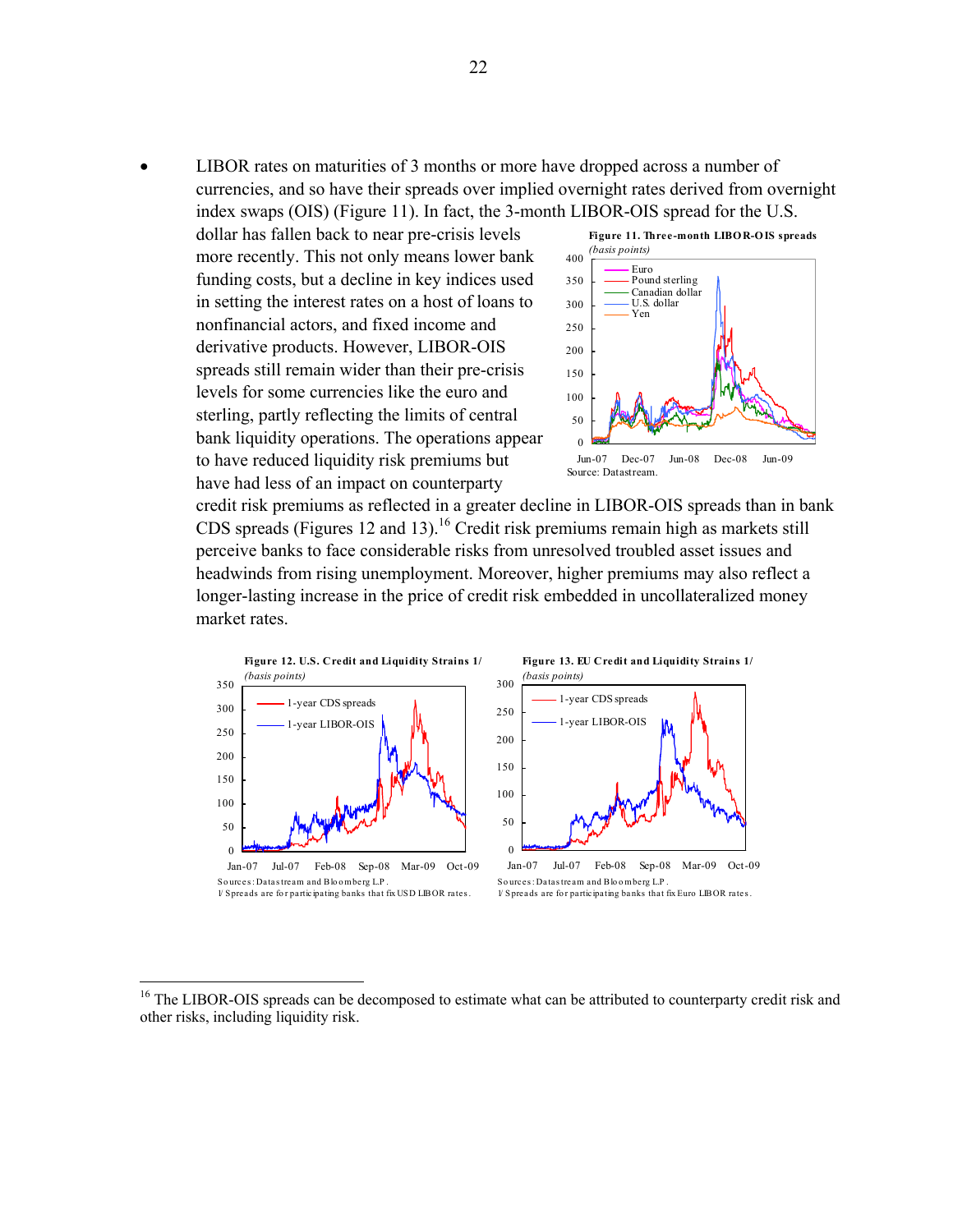LIBOR rates on maturities of 3 months or more have dropped across a number of currencies, and so have their spreads over implied overnight rates derived from overnight index swaps (OIS) (Figure 11). In fact, the 3-month LIBOR-OIS spread for the U.S.

dollar has fallen back to near pre-crisis levels more recently. This not only means lower bank funding costs, but a decline in key indices used in setting the interest rates on a host of loans to nonfinancial actors, and fixed income and derivative products. However, LIBOR-OIS spreads still remain wider than their pre-crisis levels for some currencies like the euro and sterling, partly reflecting the limits of central bank liquidity operations. The operations appear to have reduced liquidity risk premiums but have had less of an impact on counterparty

 $\overline{a}$ 



credit risk premiums as reflected in a greater decline in LIBOR-OIS spreads than in bank CDS spreads (Figures 12 and 13).<sup>16</sup> Credit risk premiums remain high as markets still perceive banks to face considerable risks from unresolved troubled asset issues and headwinds from rising unemployment. Moreover, higher premiums may also reflect a longer-lasting increase in the price of credit risk embedded in uncollateralized money market rates.



<sup>1/</sup> Spreads are fo r participating banks that fix Euro LIBOR rates .

<sup>&</sup>lt;sup>16</sup> The LIBOR-OIS spreads can be decomposed to estimate what can be attributed to counterparty credit risk and other risks, including liquidity risk.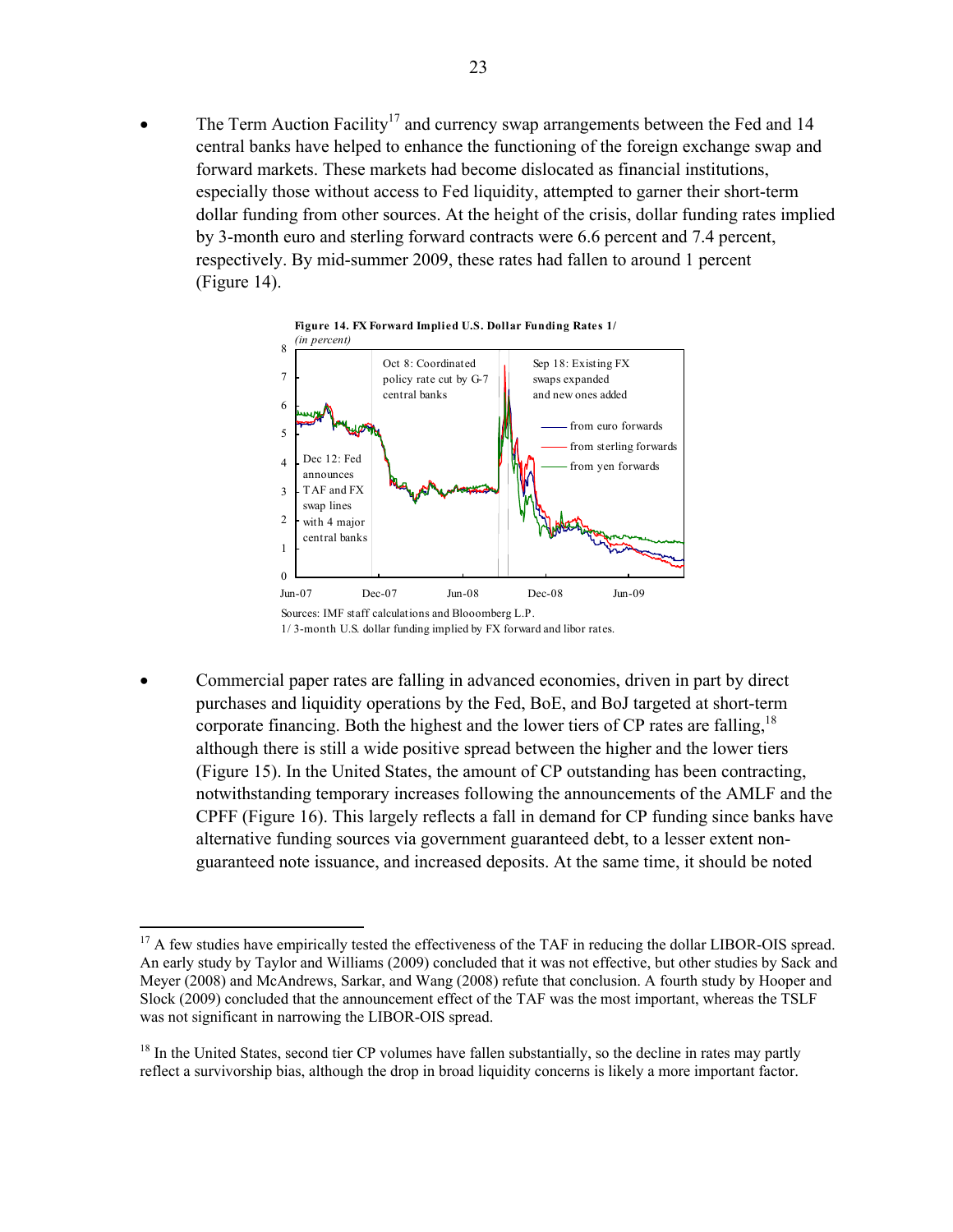The Term Auction Facility<sup>17</sup> and currency swap arrangements between the Fed and 14 central banks have helped to enhance the functioning of the foreign exchange swap and forward markets. These markets had become dislocated as financial institutions, especially those without access to Fed liquidity, attempted to garner their short-term dollar funding from other sources. At the height of the crisis, dollar funding rates implied by 3-month euro and sterling forward contracts were 6.6 percent and 7.4 percent, respectively. By mid-summer 2009, these rates had fallen to around 1 percent (Figure 14).



 Commercial paper rates are falling in advanced economies, driven in part by direct purchases and liquidity operations by the Fed, BoE, and BoJ targeted at short-term corporate financing. Both the highest and the lower tiers of CP rates are falling,  $18$ although there is still a wide positive spread between the higher and the lower tiers (Figure 15). In the United States, the amount of CP outstanding has been contracting, notwithstanding temporary increases following the announcements of the AMLF and the CPFF (Figure 16). This largely reflects a fall in demand for CP funding since banks have alternative funding sources via government guaranteed debt, to a lesser extent nonguaranteed note issuance, and increased deposits. At the same time, it should be noted

 $\overline{a}$ 

<sup>&</sup>lt;sup>17</sup> A few studies have empirically tested the effectiveness of the TAF in reducing the dollar LIBOR-OIS spread. An early study by Taylor and Williams (2009) concluded that it was not effective, but other studies by Sack and Meyer (2008) and McAndrews, Sarkar, and Wang (2008) refute that conclusion. A fourth study by Hooper and Slock (2009) concluded that the announcement effect of the TAF was the most important, whereas the TSLF was not significant in narrowing the LIBOR-OIS spread.

<sup>&</sup>lt;sup>18</sup> In the United States, second tier CP volumes have fallen substantially, so the decline in rates may partly reflect a survivorship bias, although the drop in broad liquidity concerns is likely a more important factor.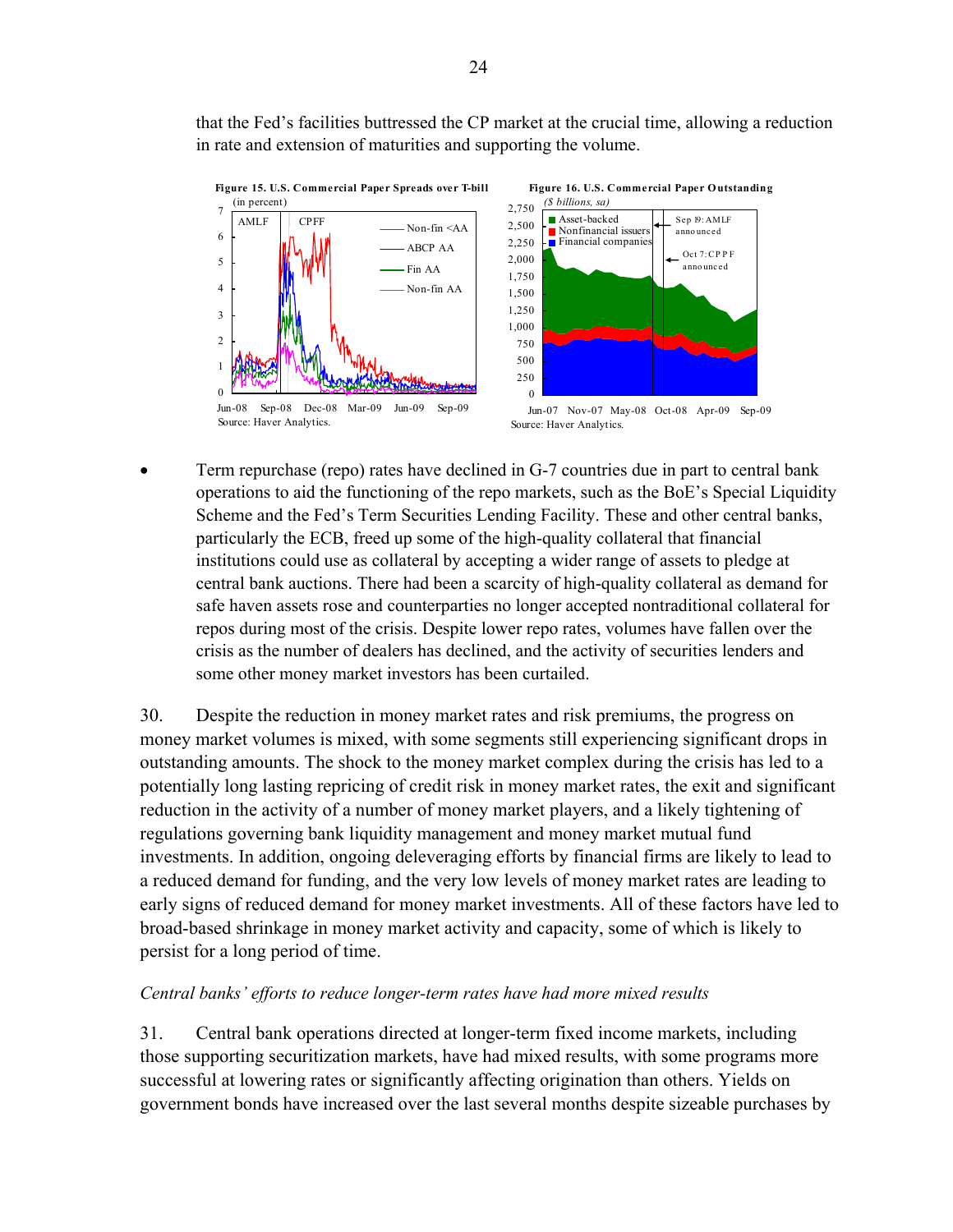that the Fed's facilities buttressed the CP market at the crucial time, allowing a reduction in rate and extension of maturities and supporting the volume.





Jun-07 Nov-07 May-08 Oct-08 Apr-09 Sep-09 Source: Haver Analytics.

 Term repurchase (repo) rates have declined in G-7 countries due in part to central bank operations to aid the functioning of the repo markets, such as the BoE's Special Liquidity Scheme and the Fed's Term Securities Lending Facility. These and other central banks, particularly the ECB, freed up some of the high-quality collateral that financial institutions could use as collateral by accepting a wider range of assets to pledge at central bank auctions. There had been a scarcity of high-quality collateral as demand for safe haven assets rose and counterparties no longer accepted nontraditional collateral for repos during most of the crisis. Despite lower repo rates, volumes have fallen over the crisis as the number of dealers has declined, and the activity of securities lenders and some other money market investors has been curtailed.

30. Despite the reduction in money market rates and risk premiums, the progress on money market volumes is mixed, with some segments still experiencing significant drops in outstanding amounts. The shock to the money market complex during the crisis has led to a potentially long lasting repricing of credit risk in money market rates, the exit and significant reduction in the activity of a number of money market players, and a likely tightening of regulations governing bank liquidity management and money market mutual fund investments. In addition, ongoing deleveraging efforts by financial firms are likely to lead to a reduced demand for funding, and the very low levels of money market rates are leading to early signs of reduced demand for money market investments. All of these factors have led to broad-based shrinkage in money market activity and capacity, some of which is likely to persist for a long period of time.

### *Central banks' efforts to reduce longer-term rates have had more mixed results*

31. Central bank operations directed at longer-term fixed income markets, including those supporting securitization markets, have had mixed results, with some programs more successful at lowering rates or significantly affecting origination than others. Yields on government bonds have increased over the last several months despite sizeable purchases by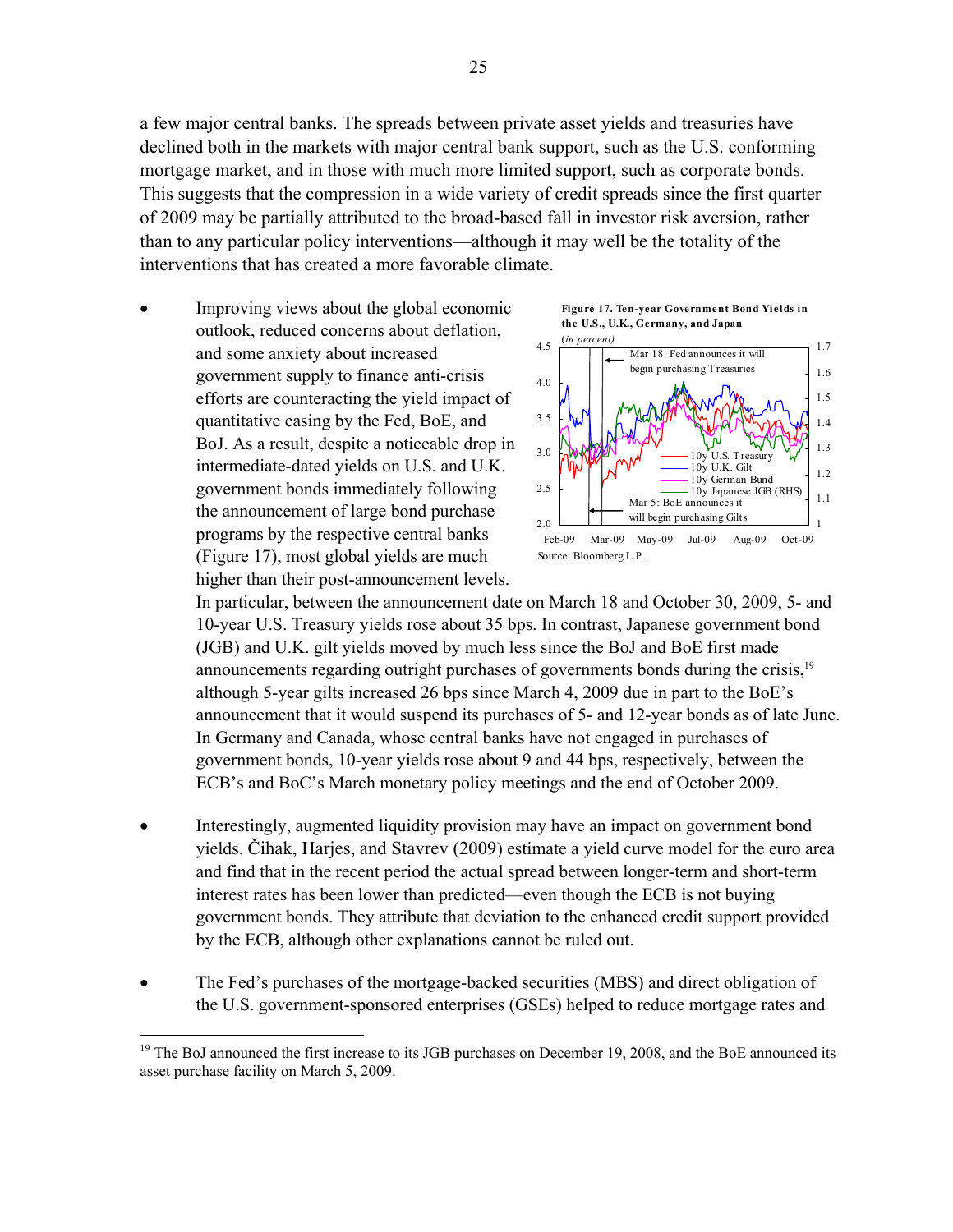a few major central banks. The spreads between private asset yields and treasuries have declined both in the markets with major central bank support, such as the U.S. conforming mortgage market, and in those with much more limited support, such as corporate bonds. This suggests that the compression in a wide variety of credit spreads since the first quarter of 2009 may be partially attributed to the broad-based fall in investor risk aversion, rather than to any particular policy interventions—although it may well be the totality of the interventions that has created a more favorable climate.

 Improving views about the global economic outlook, reduced concerns about deflation, and some anxiety about increased government supply to finance anti-crisis efforts are counteracting the yield impact of quantitative easing by the Fed, BoE, and BoJ. As a result, despite a noticeable drop in intermediate-dated yields on U.S. and U.K. government bonds immediately following the announcement of large bond purchase programs by the respective central banks (Figure 17), most global yields are much higher than their post-announcement levels.

 $\overline{a}$ 





In particular, between the announcement date on March 18 and October 30, 2009, 5- and 10-year U.S. Treasury yields rose about 35 bps. In contrast, Japanese government bond (JGB) and U.K. gilt yields moved by much less since the BoJ and BoE first made announcements regarding outright purchases of governments bonds during the crisis,<sup>19</sup> although 5-year gilts increased 26 bps since March 4, 2009 due in part to the BoE's announcement that it would suspend its purchases of 5- and 12-year bonds as of late June. In Germany and Canada, whose central banks have not engaged in purchases of government bonds, 10-year yields rose about 9 and 44 bps, respectively, between the ECB's and BoC's March monetary policy meetings and the end of October 2009.

- Interestingly, augmented liquidity provision may have an impact on government bond yields. Čihak, Harjes, and Stavrev (2009) estimate a yield curve model for the euro area and find that in the recent period the actual spread between longer-term and short-term interest rates has been lower than predicted—even though the ECB is not buying government bonds. They attribute that deviation to the enhanced credit support provided by the ECB, although other explanations cannot be ruled out.
- The Fed's purchases of the mortgage-backed securities (MBS) and direct obligation of the U.S. government-sponsored enterprises (GSEs) helped to reduce mortgage rates and

<sup>&</sup>lt;sup>19</sup> The BoJ announced the first increase to its JGB purchases on December 19, 2008, and the BoE announced its asset purchase facility on March 5, 2009.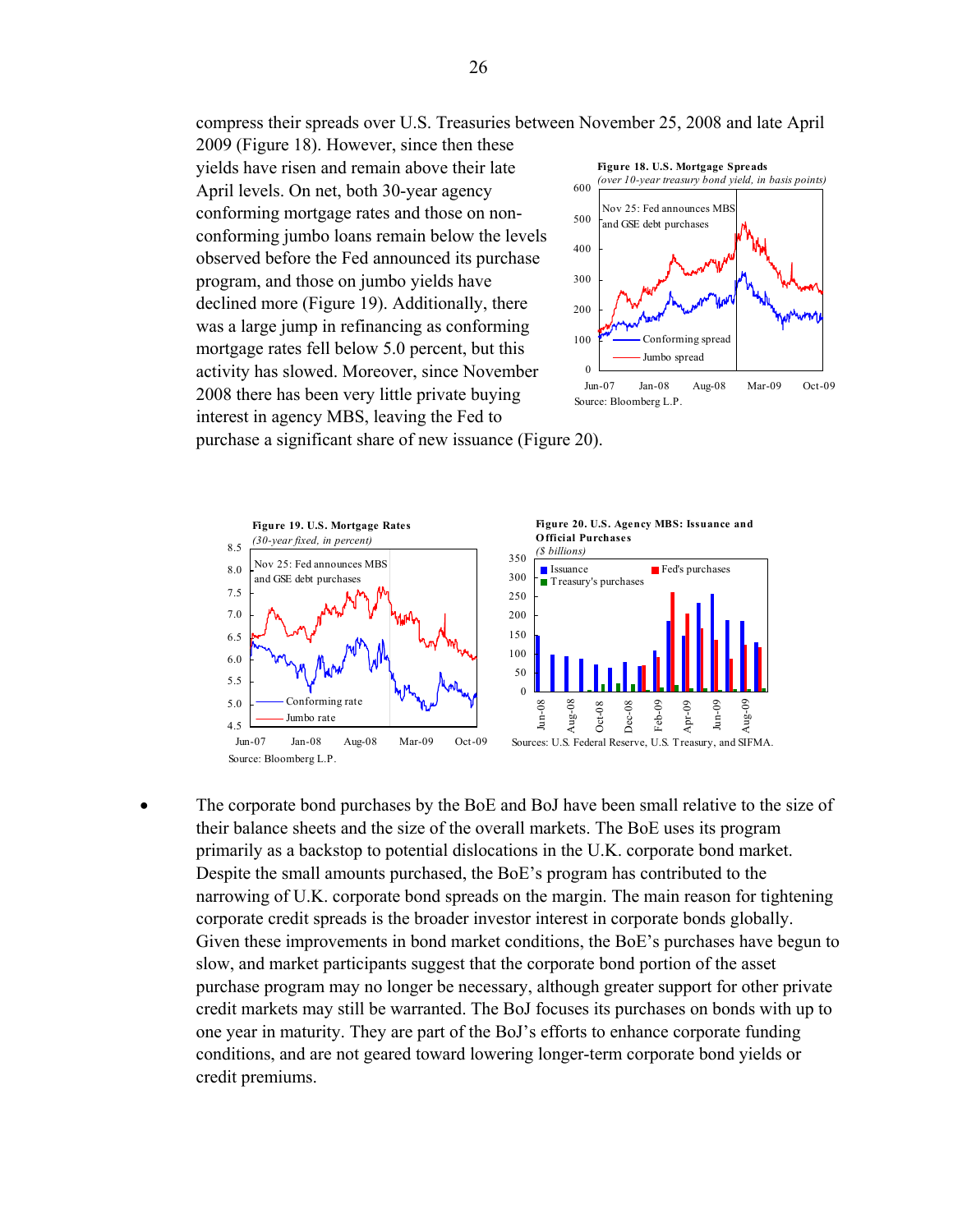compress their spreads over U.S. Treasuries between November 25, 2008 and late April

2009 (Figure 18). However, since then these yields have risen and remain above their late April levels. On net, both 30-year agency conforming mortgage rates and those on nonconforming jumbo loans remain below the levels observed before the Fed announced its purchase program, and those on jumbo yields have declined more (Figure 19). Additionally, there was a large jump in refinancing as conforming mortgage rates fell below 5.0 percent, but this activity has slowed. Moreover, since November 2008 there has been very little private buying interest in agency MBS, leaving the Fed to



purchase a significant share of new issuance (Figure 20).



 The corporate bond purchases by the BoE and BoJ have been small relative to the size of their balance sheets and the size of the overall markets. The BoE uses its program primarily as a backstop to potential dislocations in the U.K. corporate bond market. Despite the small amounts purchased, the BoE's program has contributed to the narrowing of U.K. corporate bond spreads on the margin. The main reason for tightening corporate credit spreads is the broader investor interest in corporate bonds globally. Given these improvements in bond market conditions, the BoE's purchases have begun to slow, and market participants suggest that the corporate bond portion of the asset purchase program may no longer be necessary, although greater support for other private credit markets may still be warranted. The BoJ focuses its purchases on bonds with up to one year in maturity. They are part of the BoJ's efforts to enhance corporate funding conditions, and are not geared toward lowering longer-term corporate bond yields or credit premiums.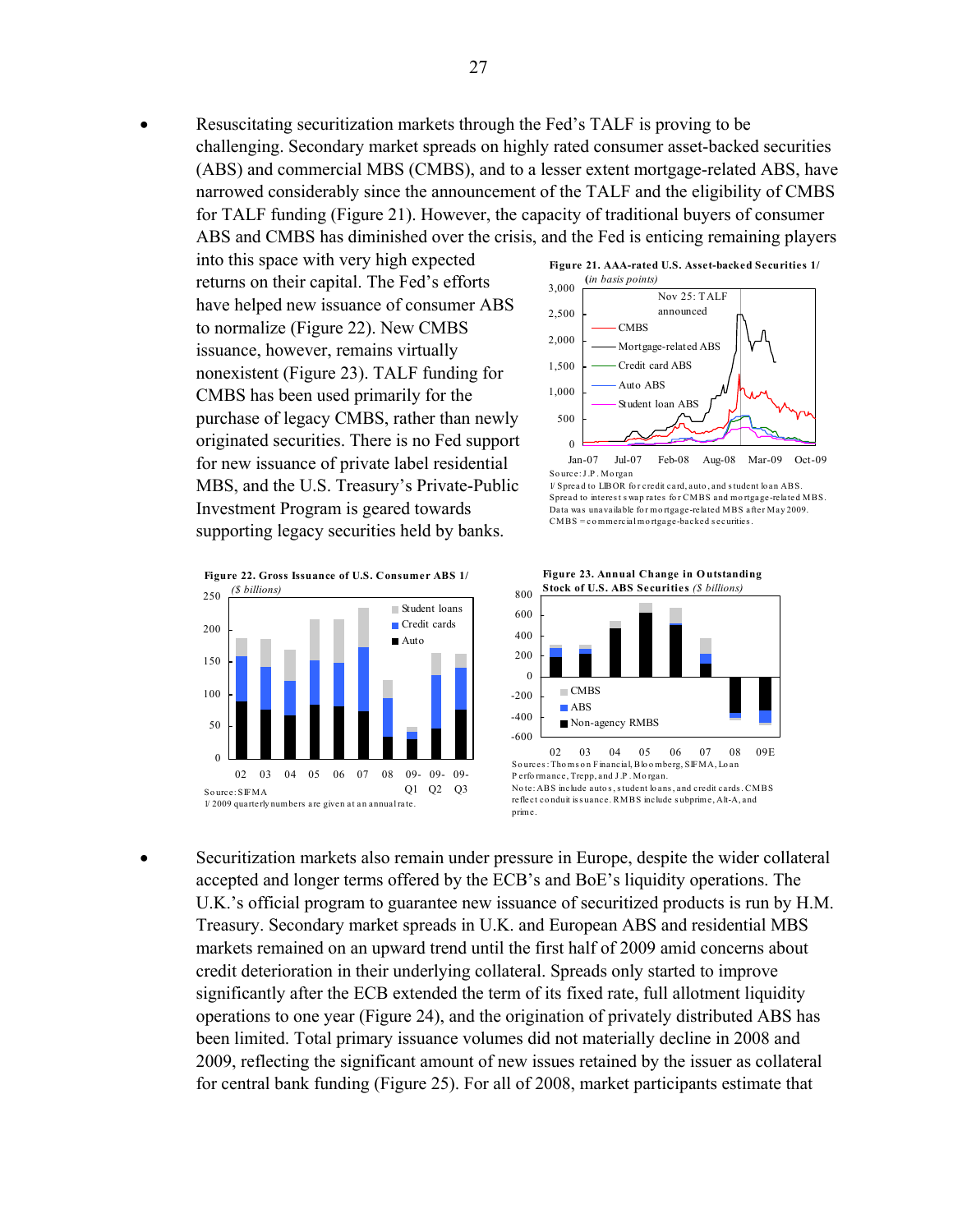Resuscitating securitization markets through the Fed's TALF is proving to be challenging. Secondary market spreads on highly rated consumer asset-backed securities (ABS) and commercial MBS (CMBS), and to a lesser extent mortgage-related ABS, have narrowed considerably since the announcement of the TALF and the eligibility of CMBS for TALF funding (Figure 21). However, the capacity of traditional buyers of consumer ABS and CMBS has diminished over the crisis, and the Fed is enticing remaining players

into this space with very high expected returns on their capital. The Fed's efforts have helped new issuance of consumer ABS to normalize (Figure 22). New CMBS issuance, however, remains virtually nonexistent (Figure 23). TALF funding for CMBS has been used primarily for the purchase of legacy CMBS, rather than newly originated securities. There is no Fed support for new issuance of private label residential MBS, and the U.S. Treasury's Private-Public Investment Program is geared towards supporting legacy securities held by banks.







Jan-07 Jul-07 Feb-08 Aug-08 Mar-09 Oct-09 So urce: J .P . Mo rgan

1/ Spread to LIBOR fo r credit card, auto , and s tudent lo an ABS. Spread to interest s wap rates for CMBS and mortgage-related MBS. Data was unavailable for mortgage-related MBS after May 2009. CMBS = co mmercial mo rtgage-backed s ecurities .



**Figure 23. Annual Change in O utstanding Stock of U.S. ABS Securities** *(\$ billions)*

 Securitization markets also remain under pressure in Europe, despite the wider collateral accepted and longer terms offered by the ECB's and BoE's liquidity operations. The U.K.'s official program to guarantee new issuance of securitized products is run by H.M. Treasury. Secondary market spreads in U.K. and European ABS and residential MBS markets remained on an upward trend until the first half of 2009 amid concerns about credit deterioration in their underlying collateral. Spreads only started to improve significantly after the ECB extended the term of its fixed rate, full allotment liquidity operations to one year (Figure 24), and the origination of privately distributed ABS has been limited. Total primary issuance volumes did not materially decline in 2008 and 2009, reflecting the significant amount of new issues retained by the issuer as collateral for central bank funding (Figure 25). For all of 2008, market participants estimate that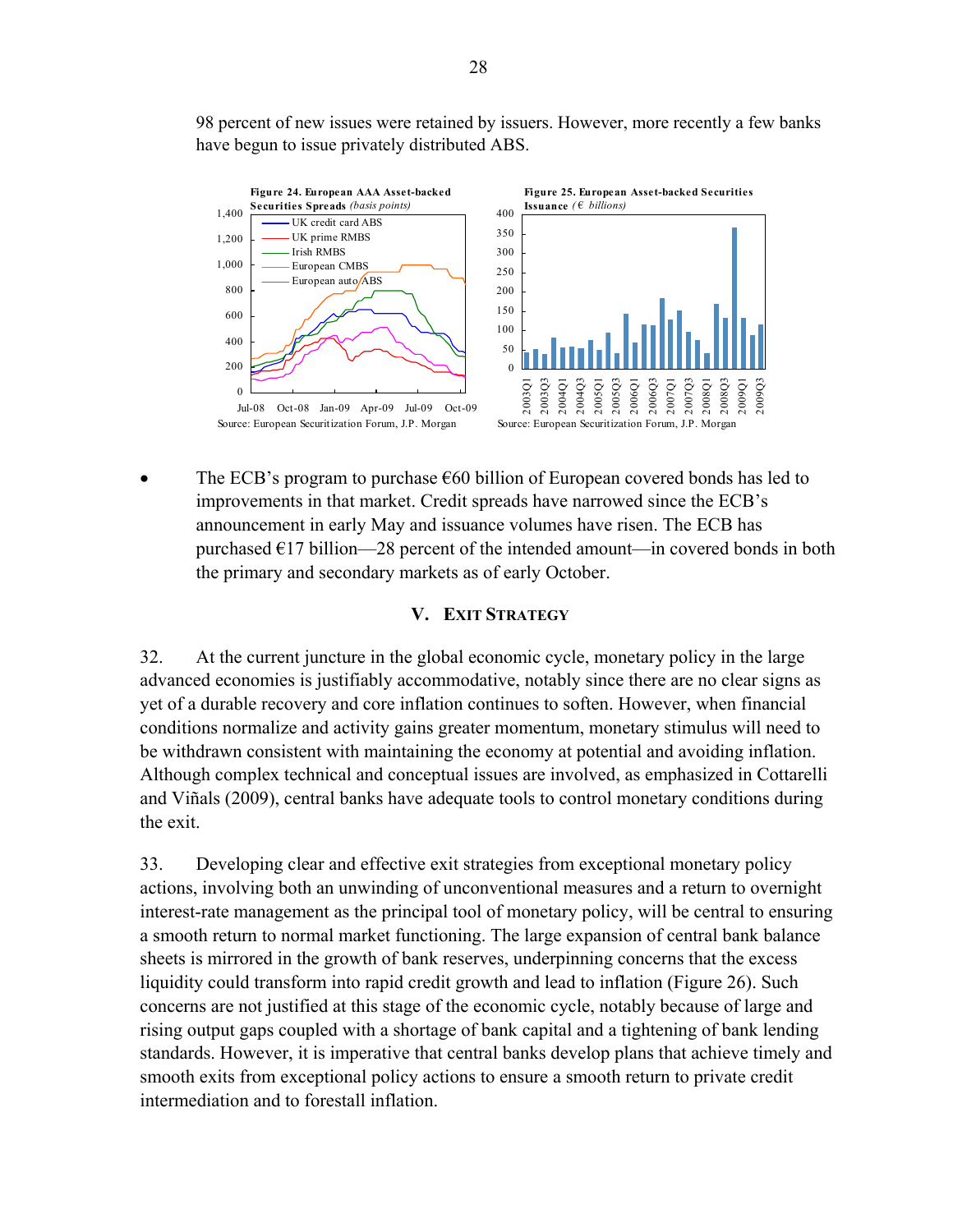98 percent of new issues were retained by issuers. However, more recently a few banks have begun to issue privately distributed ABS.



The ECB's program to purchase  $\epsilon$ 60 billion of European covered bonds has led to improvements in that market. Credit spreads have narrowed since the ECB's announcement in early May and issuance volumes have risen. The ECB has purchased  $E17$  billion—28 percent of the intended amount—in covered bonds in both the primary and secondary markets as of early October.

### **V. EXIT STRATEGY**

32. At the current juncture in the global economic cycle, monetary policy in the large advanced economies is justifiably accommodative, notably since there are no clear signs as yet of a durable recovery and core inflation continues to soften. However, when financial conditions normalize and activity gains greater momentum, monetary stimulus will need to be withdrawn consistent with maintaining the economy at potential and avoiding inflation. Although complex technical and conceptual issues are involved, as emphasized in Cottarelli and Viñals (2009), central banks have adequate tools to control monetary conditions during the exit.

33. Developing clear and effective exit strategies from exceptional monetary policy actions, involving both an unwinding of unconventional measures and a return to overnight interest-rate management as the principal tool of monetary policy, will be central to ensuring a smooth return to normal market functioning. The large expansion of central bank balance sheets is mirrored in the growth of bank reserves, underpinning concerns that the excess liquidity could transform into rapid credit growth and lead to inflation (Figure 26). Such concerns are not justified at this stage of the economic cycle, notably because of large and rising output gaps coupled with a shortage of bank capital and a tightening of bank lending standards. However, it is imperative that central banks develop plans that achieve timely and smooth exits from exceptional policy actions to ensure a smooth return to private credit intermediation and to forestall inflation.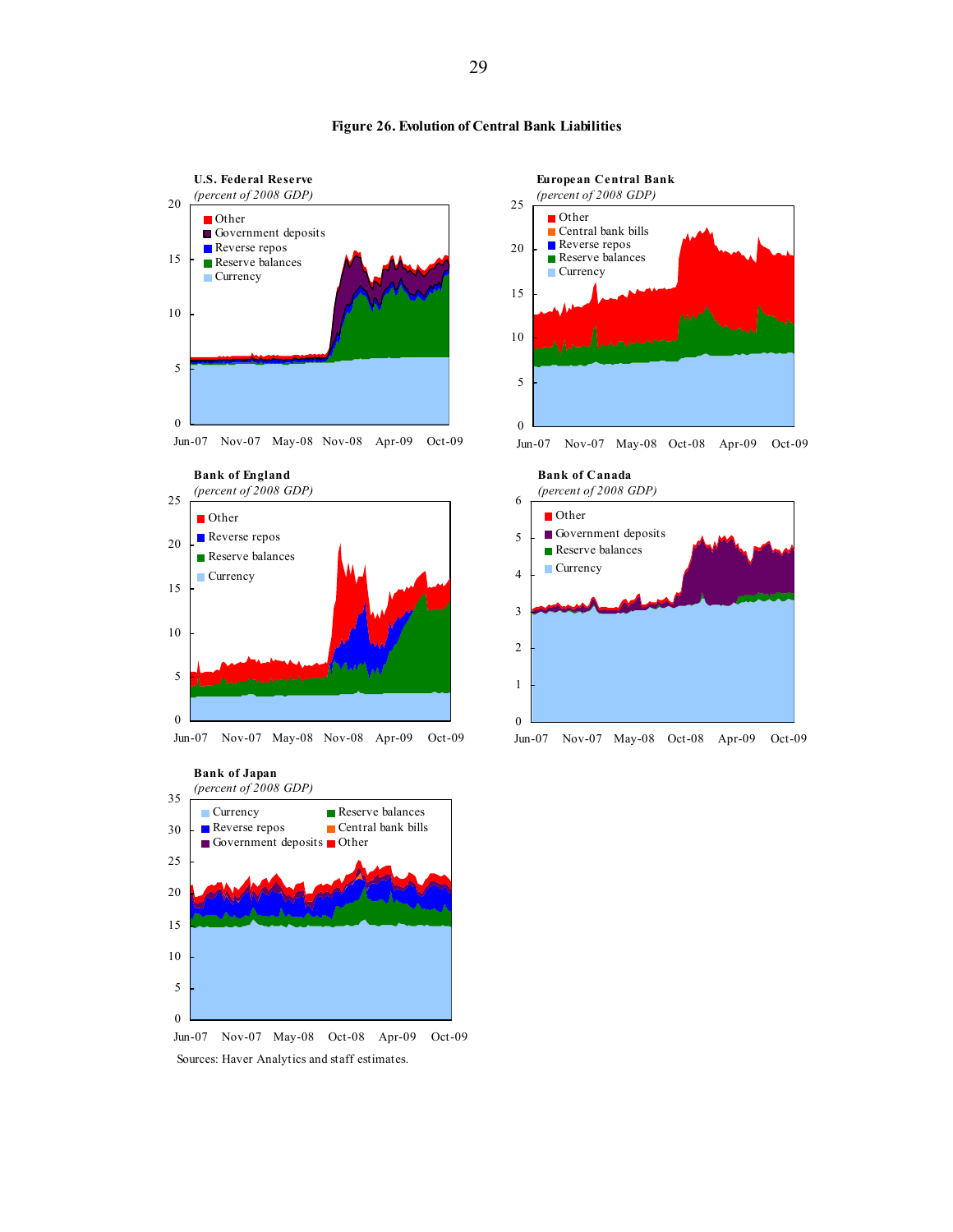

















Jun-07 Nov-07 May-08 Oct-08 Apr-09 Oct-09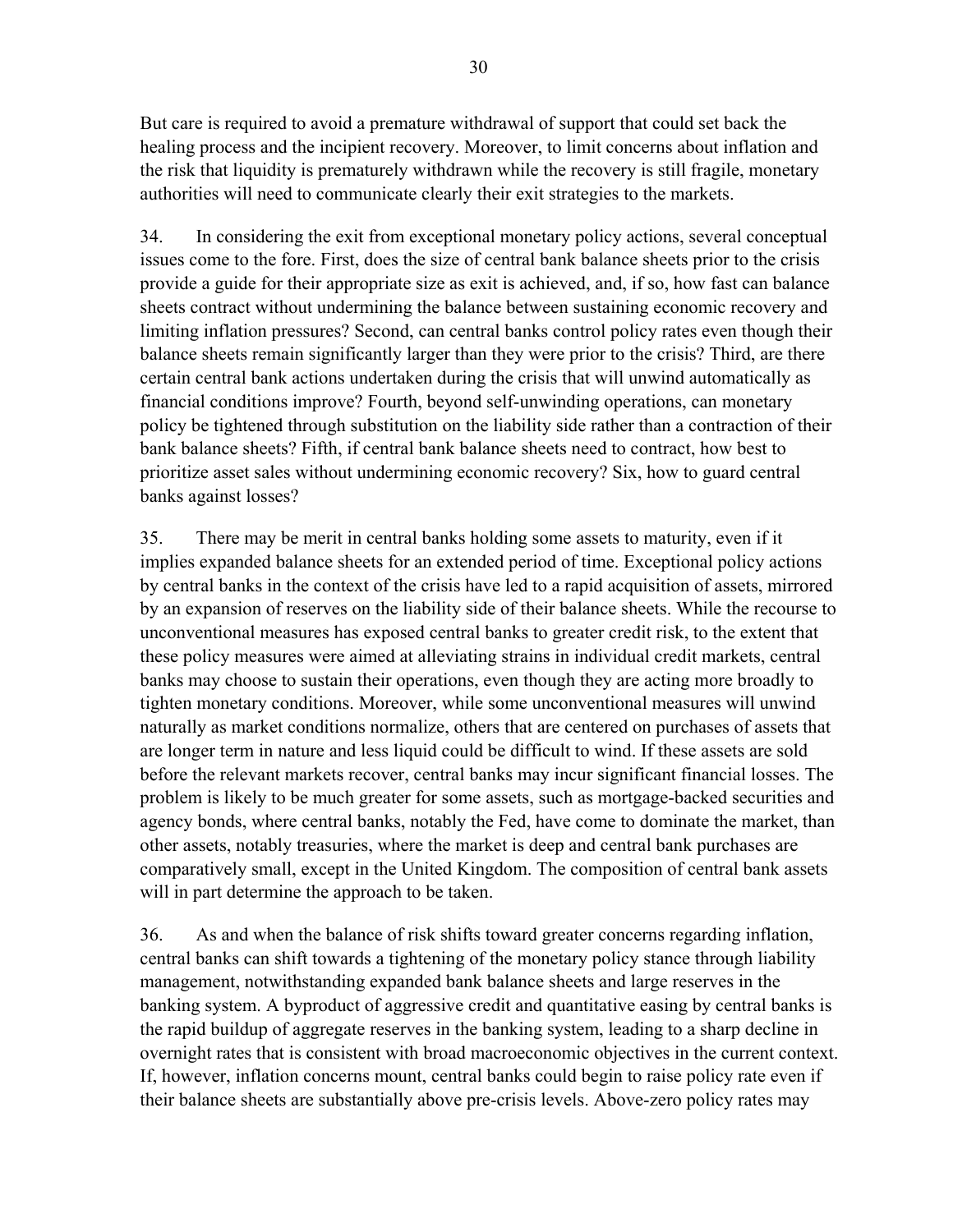But care is required to avoid a premature withdrawal of support that could set back the healing process and the incipient recovery. Moreover, to limit concerns about inflation and the risk that liquidity is prematurely withdrawn while the recovery is still fragile, monetary authorities will need to communicate clearly their exit strategies to the markets.

34. In considering the exit from exceptional monetary policy actions, several conceptual issues come to the fore. First, does the size of central bank balance sheets prior to the crisis provide a guide for their appropriate size as exit is achieved, and, if so, how fast can balance sheets contract without undermining the balance between sustaining economic recovery and limiting inflation pressures? Second, can central banks control policy rates even though their balance sheets remain significantly larger than they were prior to the crisis? Third, are there certain central bank actions undertaken during the crisis that will unwind automatically as financial conditions improve? Fourth, beyond self-unwinding operations, can monetary policy be tightened through substitution on the liability side rather than a contraction of their bank balance sheets? Fifth, if central bank balance sheets need to contract, how best to prioritize asset sales without undermining economic recovery? Six, how to guard central banks against losses?

35. There may be merit in central banks holding some assets to maturity, even if it implies expanded balance sheets for an extended period of time. Exceptional policy actions by central banks in the context of the crisis have led to a rapid acquisition of assets, mirrored by an expansion of reserves on the liability side of their balance sheets. While the recourse to unconventional measures has exposed central banks to greater credit risk, to the extent that these policy measures were aimed at alleviating strains in individual credit markets, central banks may choose to sustain their operations, even though they are acting more broadly to tighten monetary conditions. Moreover, while some unconventional measures will unwind naturally as market conditions normalize, others that are centered on purchases of assets that are longer term in nature and less liquid could be difficult to wind. If these assets are sold before the relevant markets recover, central banks may incur significant financial losses. The problem is likely to be much greater for some assets, such as mortgage-backed securities and agency bonds, where central banks, notably the Fed, have come to dominate the market, than other assets, notably treasuries, where the market is deep and central bank purchases are comparatively small, except in the United Kingdom. The composition of central bank assets will in part determine the approach to be taken.

36. As and when the balance of risk shifts toward greater concerns regarding inflation, central banks can shift towards a tightening of the monetary policy stance through liability management, notwithstanding expanded bank balance sheets and large reserves in the banking system. A byproduct of aggressive credit and quantitative easing by central banks is the rapid buildup of aggregate reserves in the banking system, leading to a sharp decline in overnight rates that is consistent with broad macroeconomic objectives in the current context. If, however, inflation concerns mount, central banks could begin to raise policy rate even if their balance sheets are substantially above pre-crisis levels. Above-zero policy rates may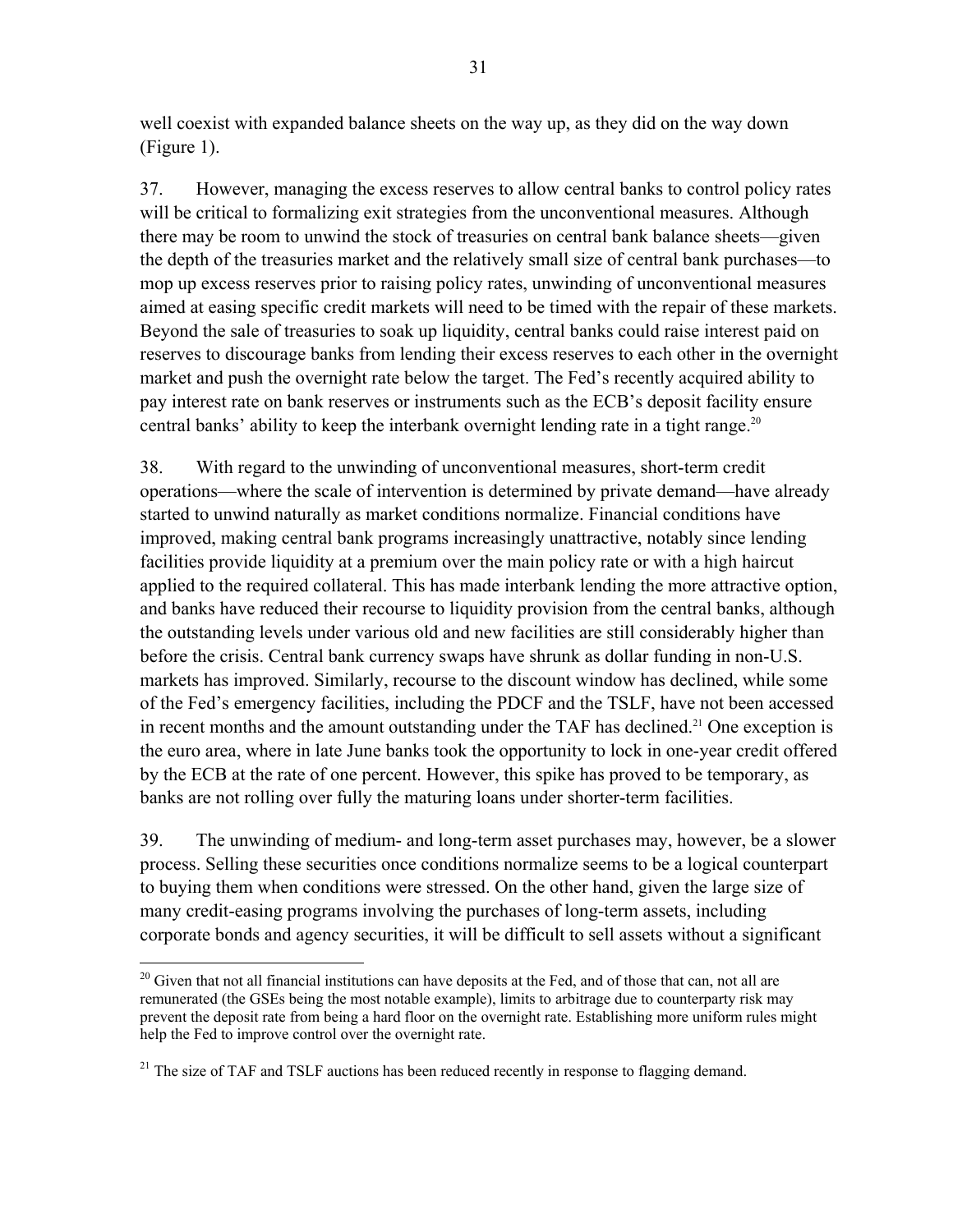well coexist with expanded balance sheets on the way up, as they did on the way down (Figure 1).

37. However, managing the excess reserves to allow central banks to control policy rates will be critical to formalizing exit strategies from the unconventional measures. Although there may be room to unwind the stock of treasuries on central bank balance sheets—given the depth of the treasuries market and the relatively small size of central bank purchases—to mop up excess reserves prior to raising policy rates, unwinding of unconventional measures aimed at easing specific credit markets will need to be timed with the repair of these markets. Beyond the sale of treasuries to soak up liquidity, central banks could raise interest paid on reserves to discourage banks from lending their excess reserves to each other in the overnight market and push the overnight rate below the target. The Fed's recently acquired ability to pay interest rate on bank reserves or instruments such as the ECB's deposit facility ensure central banks' ability to keep the interbank overnight lending rate in a tight range.<sup>20</sup>

38. With regard to the unwinding of unconventional measures, short-term credit operations—where the scale of intervention is determined by private demand—have already started to unwind naturally as market conditions normalize. Financial conditions have improved, making central bank programs increasingly unattractive, notably since lending facilities provide liquidity at a premium over the main policy rate or with a high haircut applied to the required collateral. This has made interbank lending the more attractive option, and banks have reduced their recourse to liquidity provision from the central banks, although the outstanding levels under various old and new facilities are still considerably higher than before the crisis. Central bank currency swaps have shrunk as dollar funding in non-U.S. markets has improved. Similarly, recourse to the discount window has declined, while some of the Fed's emergency facilities, including the PDCF and the TSLF, have not been accessed in recent months and the amount outstanding under the TAF has declined.<sup>21</sup> One exception is the euro area, where in late June banks took the opportunity to lock in one-year credit offered by the ECB at the rate of one percent. However, this spike has proved to be temporary, as banks are not rolling over fully the maturing loans under shorter-term facilities.

39. The unwinding of medium- and long-term asset purchases may, however, be a slower process. Selling these securities once conditions normalize seems to be a logical counterpart to buying them when conditions were stressed. On the other hand, given the large size of many credit-easing programs involving the purchases of long-term assets, including corporate bonds and agency securities, it will be difficult to sell assets without a significant

 $\overline{a}$ <sup>20</sup> Given that not all financial institutions can have deposits at the Fed, and of those that can, not all are remunerated (the GSEs being the most notable example), limits to arbitrage due to counterparty risk may prevent the deposit rate from being a hard floor on the overnight rate. Establishing more uniform rules might help the Fed to improve control over the overnight rate.

 $21$  The size of TAF and TSLF auctions has been reduced recently in response to flagging demand.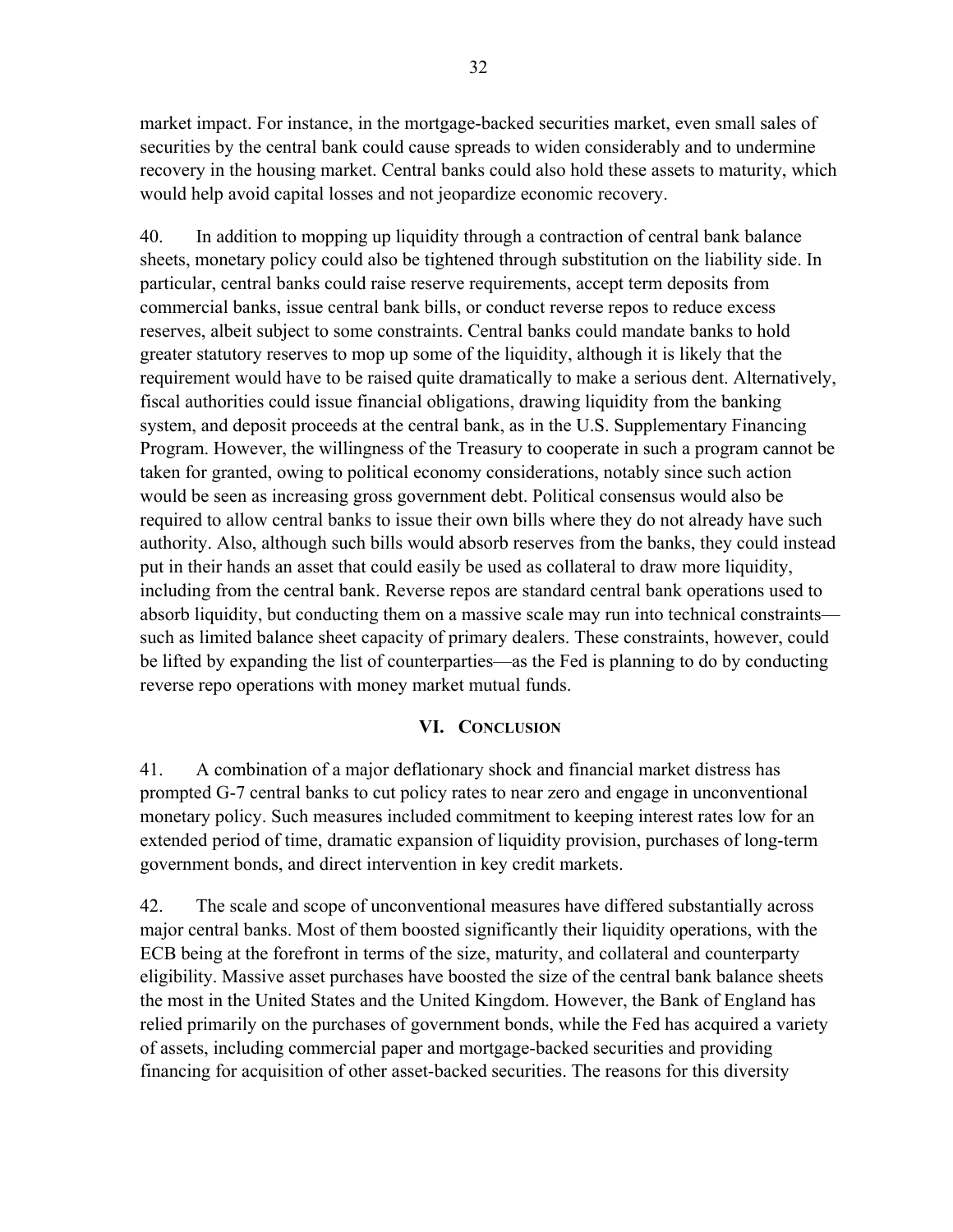market impact. For instance, in the mortgage-backed securities market, even small sales of securities by the central bank could cause spreads to widen considerably and to undermine recovery in the housing market. Central banks could also hold these assets to maturity, which would help avoid capital losses and not jeopardize economic recovery.

40. In addition to mopping up liquidity through a contraction of central bank balance sheets, monetary policy could also be tightened through substitution on the liability side. In particular, central banks could raise reserve requirements, accept term deposits from commercial banks, issue central bank bills, or conduct reverse repos to reduce excess reserves, albeit subject to some constraints. Central banks could mandate banks to hold greater statutory reserves to mop up some of the liquidity, although it is likely that the requirement would have to be raised quite dramatically to make a serious dent. Alternatively, fiscal authorities could issue financial obligations, drawing liquidity from the banking system, and deposit proceeds at the central bank, as in the U.S. Supplementary Financing Program. However, the willingness of the Treasury to cooperate in such a program cannot be taken for granted, owing to political economy considerations, notably since such action would be seen as increasing gross government debt. Political consensus would also be required to allow central banks to issue their own bills where they do not already have such authority. Also, although such bills would absorb reserves from the banks, they could instead put in their hands an asset that could easily be used as collateral to draw more liquidity, including from the central bank. Reverse repos are standard central bank operations used to absorb liquidity, but conducting them on a massive scale may run into technical constraints such as limited balance sheet capacity of primary dealers. These constraints, however, could be lifted by expanding the list of counterparties—as the Fed is planning to do by conducting reverse repo operations with money market mutual funds.

### **VI. CONCLUSION**

41. A combination of a major deflationary shock and financial market distress has prompted G-7 central banks to cut policy rates to near zero and engage in unconventional monetary policy. Such measures included commitment to keeping interest rates low for an extended period of time, dramatic expansion of liquidity provision, purchases of long-term government bonds, and direct intervention in key credit markets.

42. The scale and scope of unconventional measures have differed substantially across major central banks. Most of them boosted significantly their liquidity operations, with the ECB being at the forefront in terms of the size, maturity, and collateral and counterparty eligibility. Massive asset purchases have boosted the size of the central bank balance sheets the most in the United States and the United Kingdom. However, the Bank of England has relied primarily on the purchases of government bonds, while the Fed has acquired a variety of assets, including commercial paper and mortgage-backed securities and providing financing for acquisition of other asset-backed securities. The reasons for this diversity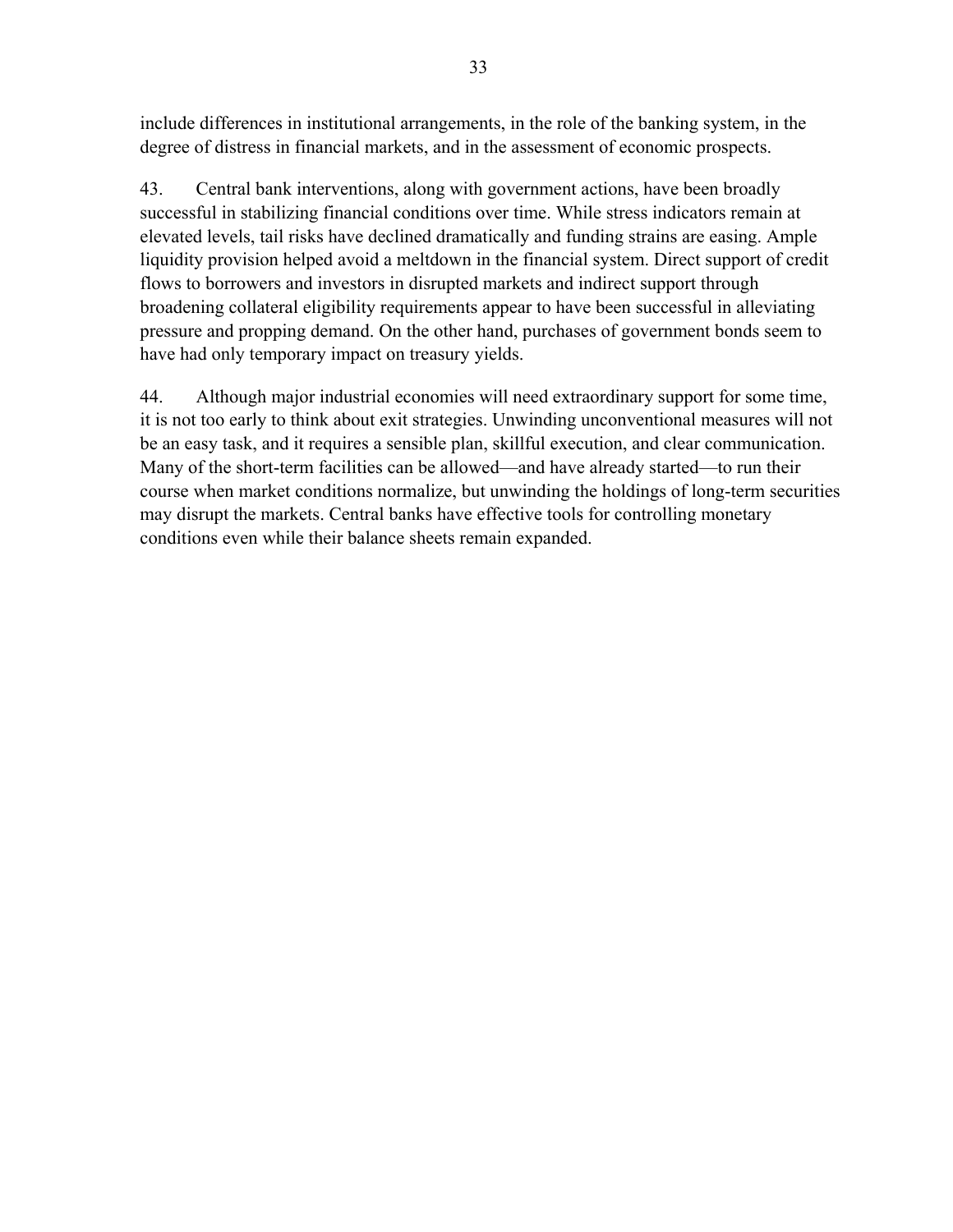include differences in institutional arrangements, in the role of the banking system, in the degree of distress in financial markets, and in the assessment of economic prospects.

43. Central bank interventions, along with government actions, have been broadly successful in stabilizing financial conditions over time. While stress indicators remain at elevated levels, tail risks have declined dramatically and funding strains are easing. Ample liquidity provision helped avoid a meltdown in the financial system. Direct support of credit flows to borrowers and investors in disrupted markets and indirect support through broadening collateral eligibility requirements appear to have been successful in alleviating pressure and propping demand. On the other hand, purchases of government bonds seem to have had only temporary impact on treasury yields.

44. Although major industrial economies will need extraordinary support for some time, it is not too early to think about exit strategies. Unwinding unconventional measures will not be an easy task, and it requires a sensible plan, skillful execution, and clear communication. Many of the short-term facilities can be allowed—and have already started—to run their course when market conditions normalize, but unwinding the holdings of long-term securities may disrupt the markets. Central banks have effective tools for controlling monetary conditions even while their balance sheets remain expanded.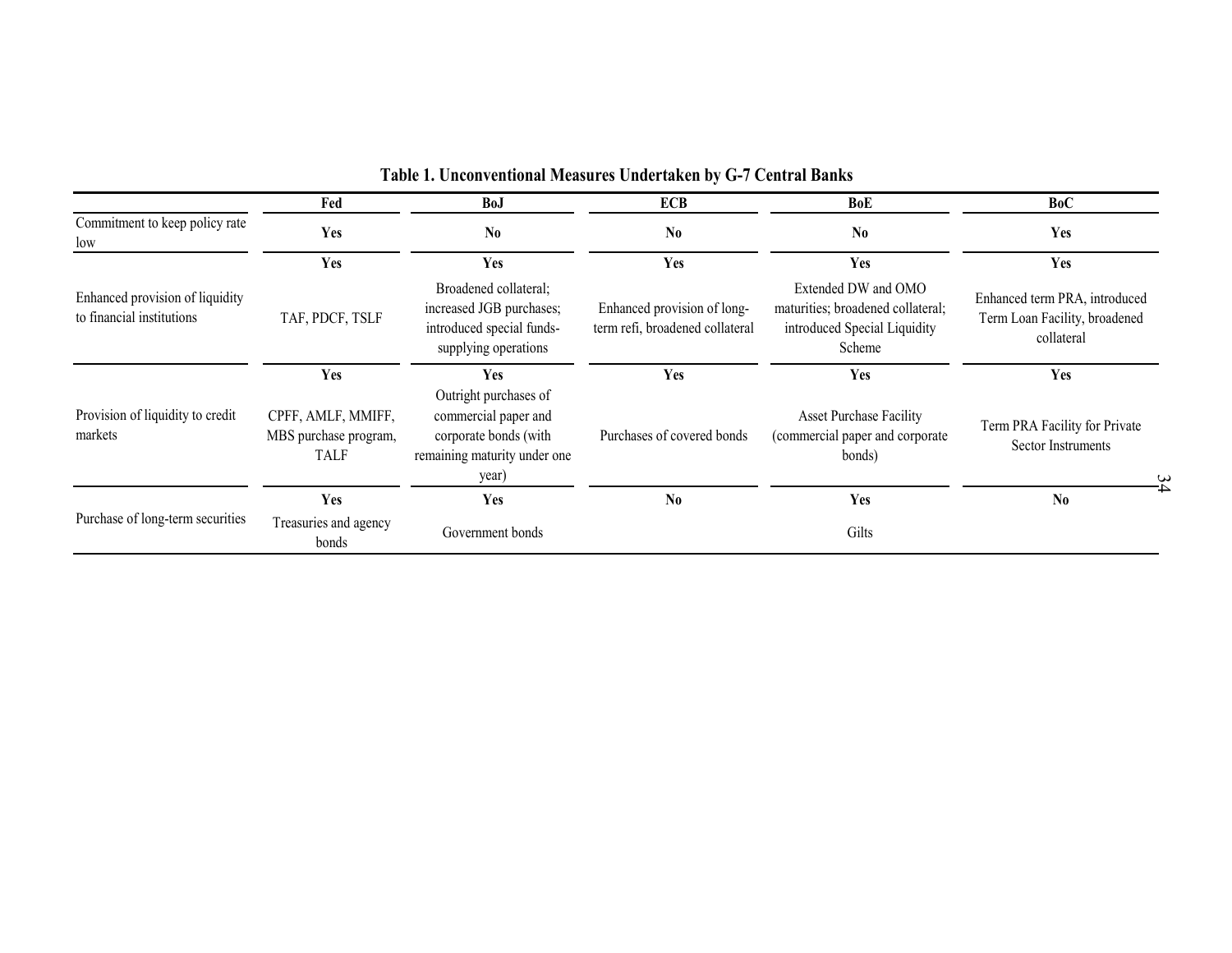|                                                              | Fed                                                        | <b>BoJ</b>                                                                                                      | Table 1. Unconventional Measures Undertaken by G-7 Central Banks<br><b>ECB</b> | <b>BoE</b>                                                                                         | <b>BoC</b>                                                                   |
|--------------------------------------------------------------|------------------------------------------------------------|-----------------------------------------------------------------------------------------------------------------|--------------------------------------------------------------------------------|----------------------------------------------------------------------------------------------------|------------------------------------------------------------------------------|
| Commitment to keep policy rate<br>low                        | Yes                                                        | N <sub>0</sub>                                                                                                  | N <sub>0</sub>                                                                 | N <sub>0</sub>                                                                                     | Yes                                                                          |
|                                                              | Yes                                                        | Yes                                                                                                             | Yes                                                                            | Yes                                                                                                | Yes                                                                          |
| Enhanced provision of liquidity<br>to financial institutions | TAF, PDCF, TSLF                                            | Broadened collateral;<br>increased JGB purchases;<br>introduced special funds-<br>supplying operations          | Enhanced provision of long-<br>term refi, broadened collateral                 | Extended DW and OMO<br>maturities; broadened collateral;<br>introduced Special Liquidity<br>Scheme | Enhanced term PRA, introduced<br>Term Loan Facility, broadened<br>collateral |
|                                                              | Yes                                                        | <b>Yes</b>                                                                                                      | Yes                                                                            | Yes                                                                                                | Yes                                                                          |
| Provision of liquidity to credit<br>markets                  | CPFF, AMLF, MMIFF,<br>MBS purchase program,<br><b>TALF</b> | Outright purchases of<br>commercial paper and<br>corporate bonds (with<br>remaining maturity under one<br>year) | Purchases of covered bonds                                                     | <b>Asset Purchase Facility</b><br>(commercial paper and corporate<br>bonds)                        | Term PRA Facility for Private<br><b>Sector Instruments</b>                   |
| Purchase of long-term securities                             | Yes                                                        | Yes                                                                                                             | N <sub>0</sub>                                                                 | Yes                                                                                                | N <sub>0</sub>                                                               |
|                                                              | Treasuries and agency<br>bonds                             | Government bonds                                                                                                |                                                                                | Gilts                                                                                              |                                                                              |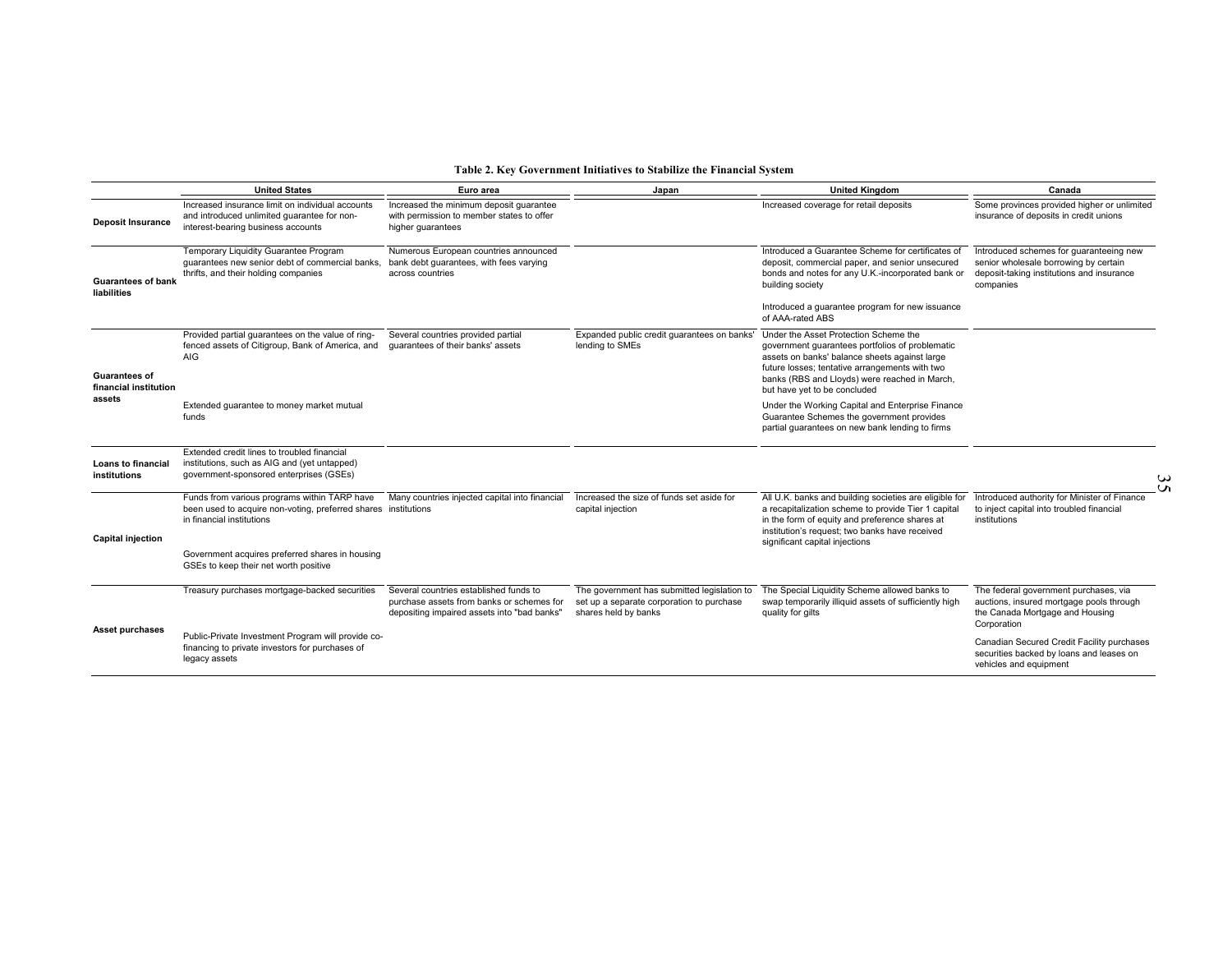|                                                         |                                                                                                                                             |                                                                                                                                    | Table 2. Key Government Initiatives to Stabilize the Financial System                                            |                                                                                                                                                                                                                                                                              |                                                                                                                                            |         |
|---------------------------------------------------------|---------------------------------------------------------------------------------------------------------------------------------------------|------------------------------------------------------------------------------------------------------------------------------------|------------------------------------------------------------------------------------------------------------------|------------------------------------------------------------------------------------------------------------------------------------------------------------------------------------------------------------------------------------------------------------------------------|--------------------------------------------------------------------------------------------------------------------------------------------|---------|
|                                                         | <b>United States</b>                                                                                                                        | Euro area                                                                                                                          | Japan                                                                                                            | <b>United Kingdom</b>                                                                                                                                                                                                                                                        | Canada                                                                                                                                     |         |
| <b>Deposit Insurance</b>                                | Increased insurance limit on individual accounts<br>and introduced unlimited guarantee for non-<br>interest-bearing business accounts       | Increased the minimum deposit quarantee<br>with permission to member states to offer<br>higher guarantees                          |                                                                                                                  | Increased coverage for retail deposits                                                                                                                                                                                                                                       | Some provinces provided higher or unlimited<br>insurance of deposits in credit unions                                                      |         |
| <b>Guarantees of bank</b><br>liabilities                | Temporary Liquidity Guarantee Program<br>guarantees new senior debt of commercial banks,<br>thrifts, and their holding companies            | Numerous European countries announced<br>bank debt guarantees, with fees varying<br>across countries                               |                                                                                                                  | Introduced a Guarantee Scheme for certificates of<br>deposit, commercial paper, and senior unsecured<br>bonds and notes for any U.K.-incorporated bank or<br>building society                                                                                                | Introduced schemes for quaranteeing new<br>senior wholesale borrowing by certain<br>deposit-taking institutions and insurance<br>companies |         |
|                                                         |                                                                                                                                             |                                                                                                                                    |                                                                                                                  | Introduced a guarantee program for new issuance<br>of AAA-rated ABS                                                                                                                                                                                                          |                                                                                                                                            |         |
| <b>Guarantees of</b><br>financial institution<br>assets | Provided partial quarantees on the value of ring-<br>fenced assets of Citigroup, Bank of America, and<br><b>AIG</b>                         | Several countries provided partial<br>guarantees of their banks' assets                                                            | Expanded public credit quarantees on banks'<br>lending to SMEs                                                   | Under the Asset Protection Scheme the<br>government guarantees portfolios of problematic<br>assets on banks' balance sheets against large<br>future losses; tentative arrangements with two<br>banks (RBS and Lloyds) were reached in March,<br>but have yet to be concluded |                                                                                                                                            |         |
|                                                         | Extended guarantee to money market mutual<br>funds                                                                                          |                                                                                                                                    |                                                                                                                  | Under the Working Capital and Enterprise Finance<br>Guarantee Schemes the government provides<br>partial guarantees on new bank lending to firms                                                                                                                             |                                                                                                                                            |         |
| Loans to financial<br>institutions                      | Extended credit lines to troubled financial<br>institutions, such as AIG and (yet untapped)<br>government-sponsored enterprises (GSEs)      |                                                                                                                                    |                                                                                                                  |                                                                                                                                                                                                                                                                              |                                                                                                                                            | ω<br>٢M |
| <b>Capital injection</b>                                | Funds from various programs within TARP have<br>been used to acquire non-voting, preferred shares institutions<br>in financial institutions | Many countries injected capital into financial                                                                                     | Increased the size of funds set aside for<br>capital injection                                                   | All U.K. banks and building societies are eligible for<br>a recapitalization scheme to provide Tier 1 capital<br>in the form of equity and preference shares at<br>institution's request; two banks have received<br>significant capital injections                          | Introduced authority for Minister of Finance<br>to inject capital into troubled financial<br>institutions                                  |         |
|                                                         | Government acquires preferred shares in housing<br>GSEs to keep their net worth positive                                                    |                                                                                                                                    |                                                                                                                  |                                                                                                                                                                                                                                                                              |                                                                                                                                            |         |
| Asset purchases                                         | Treasury purchases mortgage-backed securities                                                                                               | Several countries established funds to<br>purchase assets from banks or schemes for<br>depositing impaired assets into "bad banks" | The government has submitted legislation to<br>set up a separate corporation to purchase<br>shares held by banks | The Special Liquidity Scheme allowed banks to<br>swap temporarily illiquid assets of sufficiently high<br>quality for gilts                                                                                                                                                  | The federal government purchases, via<br>auctions, insured mortgage pools through<br>the Canada Mortgage and Housing<br>Corporation        |         |
|                                                         | Public-Private Investment Program will provide co-<br>financing to private investors for purchases of<br>legacy assets                      |                                                                                                                                    |                                                                                                                  |                                                                                                                                                                                                                                                                              | Canadian Secured Credit Facility purchases<br>securities backed by loans and leases on<br>vehicles and equipment                           |         |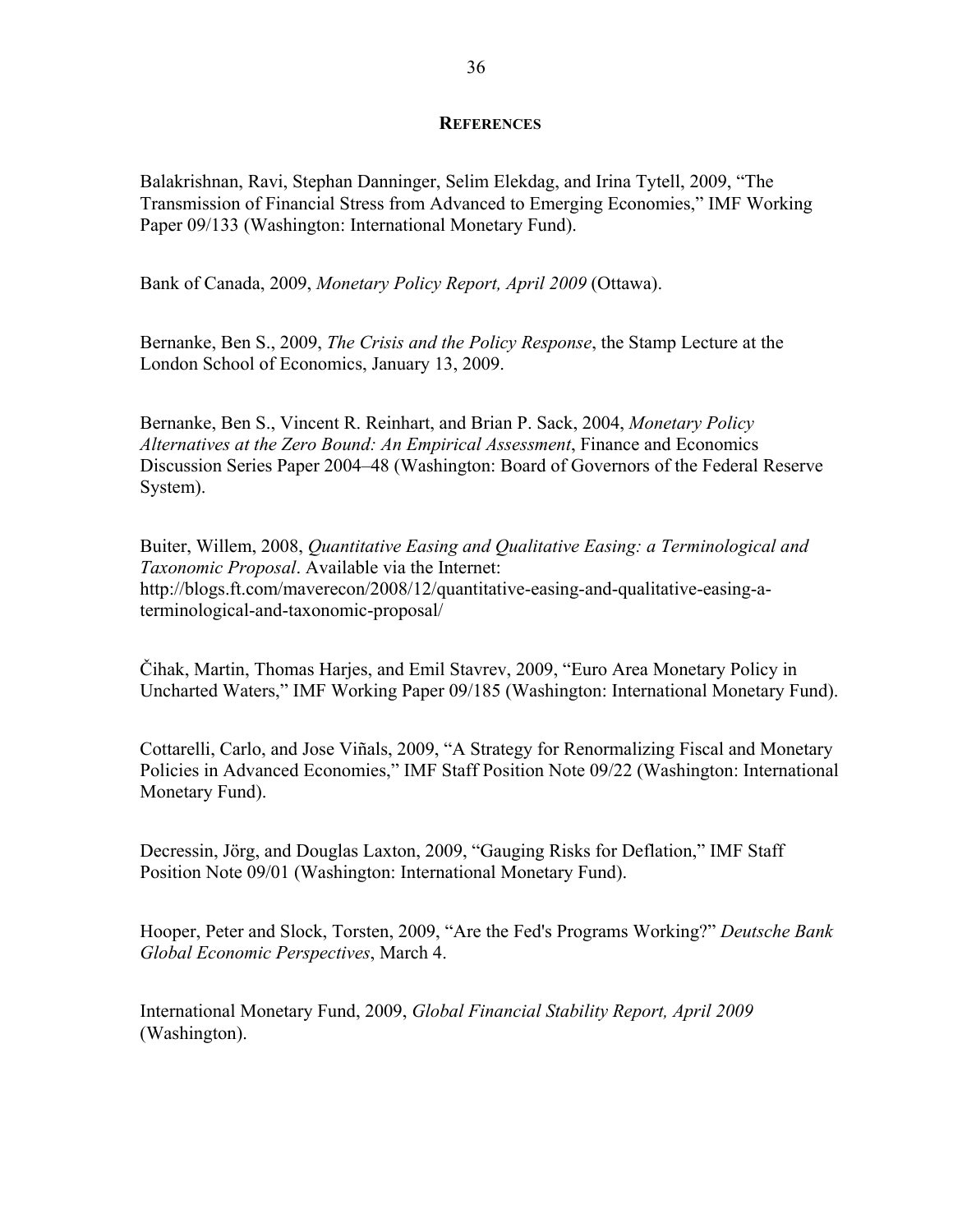#### **REFERENCES**

Balakrishnan, Ravi, Stephan Danninger, Selim Elekdag, and Irina Tytell, 2009, "The Transmission of Financial Stress from Advanced to Emerging Economies," IMF Working Paper 09/133 (Washington: International Monetary Fund).

Bank of Canada, 2009, *Monetary Policy Report, April 2009* (Ottawa).

Bernanke, Ben S., 2009, *The Crisis and the Policy Response*, the Stamp Lecture at the London School of Economics, January 13, 2009.

Bernanke, Ben S., Vincent R. Reinhart, and Brian P. Sack, 2004, *Monetary Policy Alternatives at the Zero Bound: An Empirical Assessment*, Finance and Economics Discussion Series Paper 2004–48 (Washington: Board of Governors of the Federal Reserve System).

Buiter, Willem, 2008, *Quantitative Easing and Qualitative Easing: a Terminological and Taxonomic Proposal*. Available via the Internet: http://blogs.ft.com/maverecon/2008/12/quantitative-easing-and-qualitative-easing-aterminological-and-taxonomic-proposal/

Čihak, Martin, Thomas Harjes, and Emil Stavrev, 2009, "Euro Area Monetary Policy in Uncharted Waters," IMF Working Paper 09/185 (Washington: International Monetary Fund).

Cottarelli, Carlo, and Jose Viñals, 2009, "A Strategy for Renormalizing Fiscal and Monetary Policies in Advanced Economies," IMF Staff Position Note 09/22 (Washington: International Monetary Fund).

Decressin, Jörg, and Douglas Laxton, 2009, "Gauging Risks for Deflation," IMF Staff Position Note 09/01 (Washington: International Monetary Fund).

Hooper, Peter and Slock, Torsten, 2009, "Are the Fed's Programs Working?" *Deutsche Bank Global Economic Perspectives*, March 4.

International Monetary Fund, 2009, *Global Financial Stability Report, April 2009* (Washington).